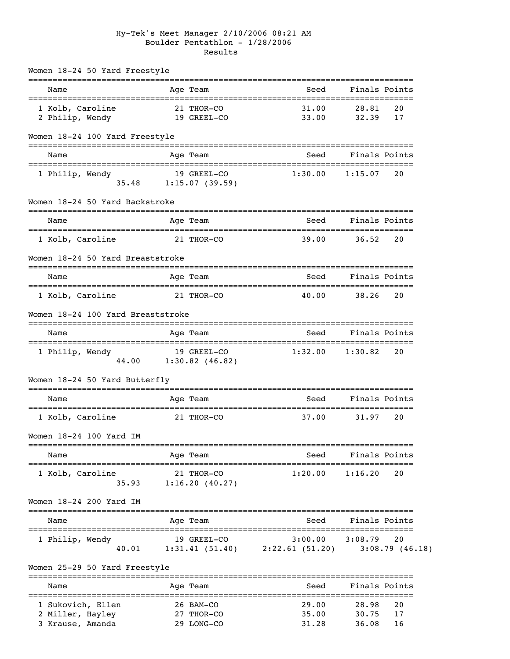#### Hy-Tek's Meet Manager 2/10/2006 08:21 AM Boulder Pentathlon - 1/28/2006 Results

| Name                              |                 | Age Team                | Seed                                         |                     | Finals Points        |
|-----------------------------------|-----------------|-------------------------|----------------------------------------------|---------------------|----------------------|
|                                   |                 |                         |                                              |                     |                      |
| 1 Kolb, Caroline                  |                 | 21 THOR-CO              | 31.00                                        | 28.81               | 20                   |
| 2 Philip, Wendy                   |                 | 19 GREEL-CO             | 33.00                                        | 32.39               | 17                   |
| Women 18-24 100 Yard Freestyle    |                 | -----------             |                                              |                     |                      |
| Name                              |                 | Age Team                | Seed                                         | Finals Points       |                      |
| 1 Philip, Wendy                   |                 | 19 GREEL-CO             | 1:30.00                                      | 1:15.07             | 20                   |
| 35.48                             |                 | 1:15.07(39.59)          |                                              |                     |                      |
| Women 18-24 50 Yard Backstroke    |                 |                         |                                              |                     |                      |
| Name                              |                 | Age Team                | Seed                                         |                     | Finals Points        |
| 1 Kolb, Caroline                  |                 | 21 THOR-CO              | 39.00                                        | 36.52               | 20                   |
| Women 18-24 50 Yard Breaststroke  |                 |                         |                                              |                     |                      |
| Name                              |                 | Age Team                | Seed                                         | Finals Points       |                      |
| 1 Kolb, Caroline                  |                 | 21 THOR-CO              | 40.00                                        | 38.26               | 20                   |
| Women 18-24 100 Yard Breaststroke |                 |                         |                                              |                     |                      |
| Name                              |                 | Age Team                | Seed                                         | Finals Points       |                      |
| 1 Philip, Wendy                   |                 | 19 GREEL-CO             | 1:32.00                                      | 1:30.82             | 20                   |
| 44.00                             |                 | $1:30.82$ (46.82)       |                                              |                     |                      |
| Women 18-24 50 Yard Butterfly     |                 |                         |                                              |                     |                      |
| Name                              |                 | Age Team                | Seed                                         |                     | Finals Points        |
| 1 Kolb, Caroline                  |                 | 21 THOR-CO              | 37.00                                        | 31.97               | 20                   |
| Women 18-24 100 Yard IM           |                 |                         |                                              |                     |                      |
| Name                              |                 | Age Team                | Seed                                         |                     | Finals Points        |
| 1 Kolb, Caroline                  |                 | 21 THOR-CO              | 1:20.00                                      | 1:16.20             | 20                   |
| 35.93                             |                 | 1:16.20(40.27)          |                                              |                     |                      |
| Women 18-24 200 Yard IM           |                 |                         |                                              |                     |                      |
| Name                              |                 | -----------<br>Age Team | ===============================<br>Seed      |                     | Finals Points        |
|                                   | =============== |                         | ----------------------                       | =================== |                      |
| 1 Philip, Wendy<br>40.01          |                 | 19 GREEL-CO             | 3:00.00<br>$1:31.41(51.40)$ $2:22.61(51.20)$ | 3:08.79             | 20<br>3:08.79(46.18) |
|                                   |                 |                         |                                              |                     |                      |
| Women 25-29 50 Yard Freestyle     |                 |                         |                                              |                     |                      |
| Name                              |                 | Age Team                | Seed                                         |                     | Finals Points        |
| 1 Sukovich, Ellen                 |                 | 26 BAM-CO               | 29.00                                        | 28.98               | 20                   |
| 2 Miller, Hayley                  |                 | 27 THOR-CO              | 35.00                                        | 30.75               | 17                   |
| 3 Krause, Amanda                  |                 | 29 LONG-CO              | 31.28                                        | 36.08               | 16                   |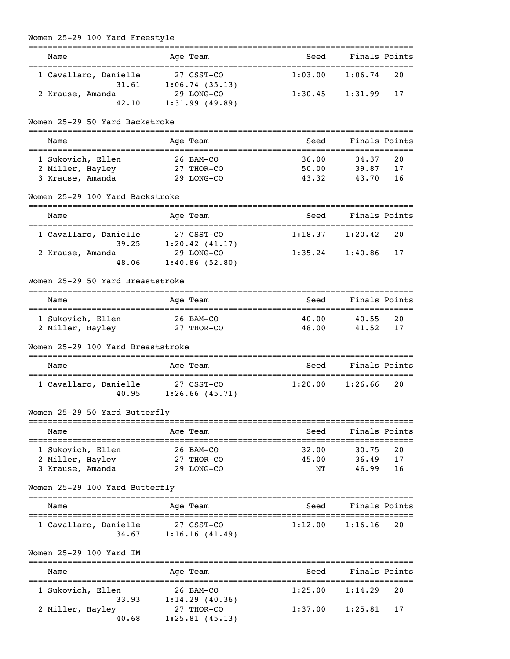| Women 25-29 100 Yard Freestyle                 |                              |                              |                           |
|------------------------------------------------|------------------------------|------------------------------|---------------------------|
| ======================================<br>Name | Age Team                     | ====================<br>Seed | Finals Points             |
| 1 Cavallaro, Danielle                          | 27 CSST-CO                   | 1:03.00                      | 1:06.74<br>20             |
| 31.61                                          | 1:06.74(35.13)               |                              |                           |
| 2 Krause, Amanda                               | 29 LONG-CO                   | 1:30.45                      | 1:31.99<br>17             |
| 42.10                                          | 1:31.99(49.89)               |                              |                           |
| Women 25-29 50 Yard Backstroke                 |                              |                              |                           |
| Name                                           | Age Team                     | Seed                         | Finals Points             |
| 1 Sukovich, Ellen                              | 26 BAM-CO                    | 36.00                        | 34.37<br>20               |
| 2 Miller, Hayley                               | 27 THOR-CO                   | 50.00                        | 39.87<br>17               |
| 3 Krause, Amanda                               | 29 LONG-CO                   | 43.32                        | 43.70<br>16               |
| Women 25-29 100 Yard Backstroke                |                              |                              |                           |
| Name                                           | Age Team                     | Seed                         | Finals Points             |
| =====================================          |                              |                              |                           |
| 1 Cavallaro, Danielle                          | 27 CSST-CO                   | 1:18.37                      | 20<br>1:20.42             |
| 39.25                                          | 1:20.42(41.17)<br>29 LONG-CO | 1:35.24                      | 17                        |
| 2 Krause, Amanda<br>48.06                      | 1:40.86(52.80)               |                              | 1:40.86                   |
|                                                |                              |                              |                           |
| Women 25-29 50 Yard Breaststroke               |                              |                              |                           |
| Name                                           | Age Team                     | Seed                         | Finals Points             |
| 1 Sukovich, Ellen                              | 26 BAM-CO                    | 40.00                        | 40.55<br>20               |
| 2 Miller, Hayley                               | 27 THOR-CO                   | 48.00                        | 41.52<br>17               |
| Women 25-29 100 Yard Breaststroke              |                              |                              |                           |
| Name                                           | Age Team                     | Seed                         | Finals Points             |
|                                                |                              |                              |                           |
| 1 Cavallaro, Danielle<br>40.95                 | 27 CSST-CO<br>1:26.66(45.71) | 1:20.00                      | 20<br>1:26.66             |
| Women 25-29 50 Yard Butterfly                  |                              |                              |                           |
|                                                |                              |                              |                           |
| Name                                           | Age Team                     | Seed                         | Finals Points             |
| 1 Sukovich, Ellen                              | 26 BAM-CO                    | 32.00                        | 30.75<br>20               |
| 2 Miller, Hayley                               | 27 THOR-CO                   | 45.00                        | 36.49<br>17               |
| 3 Krause, Amanda                               | 29 LONG-CO                   | ΝT                           | 46.99<br>16               |
| Women 25-29 100 Yard Butterfly                 |                              |                              |                           |
| .===============================<br>Name       | Age Team                     | Seed                         | Finals Points             |
|                                                |                              |                              |                           |
| 1 Cavallaro, Danielle                          | 27 CSST-CO                   | 1:12.00                      | 1:16.16<br>20             |
|                                                | $34.67$ 1:16.16 (41.49)      |                              |                           |
| Women 25-29 100 Yard IM                        |                              |                              |                           |
| Name                                           | Age Team                     | Seed                         | Finals Points             |
| 1 Sukovich, Ellen                              | 26 BAM-CO                    | 1:25.00                      | 1:14.29<br>20             |
| 33.93                                          | 1:14.29(40.36)               |                              |                           |
| 2 Miller, Hayley                               | 27 THOR-CO                   |                              | $1:37.00$ $1:25.81$<br>17 |
| 40.68                                          | 1:25.81(45.13)               |                              |                           |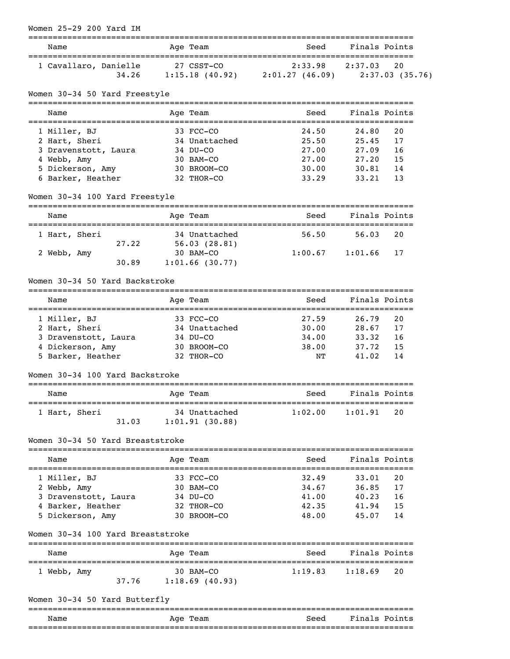| Women 25-29 200 Yard IM<br>============================= |                   |                                                       |                       |               |
|----------------------------------------------------------|-------------------|-------------------------------------------------------|-----------------------|---------------|
| Name                                                     | Age Team          | Seed                                                  |                       | Finals Points |
| 1 Cavallaro, Danielle                                    | 27 CSST-CO        | $2:33.98$ $2:37.03$                                   |                       | 20            |
| 34.26                                                    |                   | $1:15.18$ (40.92) $2:01.27$ (46.09) $2:37.03$ (35.76) |                       |               |
| Women 30-34 50 Yard Freestyle                            |                   |                                                       |                       |               |
| =============================<br>Name                    | Age Team          | Seed                                                  |                       | Finals Points |
| 1 Miller, BJ                                             | 33 FCC-CO         | 24.50                                                 | 24.80                 | 20            |
| 2 Hart, Sheri                                            | 34 Unattached     | 25.50                                                 | 25.45                 | 17            |
| 3 Dravenstott, Laura                                     | 34 DU-CO          | 27.00                                                 | 27.09                 | 16            |
| 4 Webb, Amy                                              | 30 BAM-CO         | 27.00                                                 | 27.20                 | 15            |
| 5 Dickerson, Amy                                         | 30 BROOM-CO       | 30.00                                                 | 30.81                 | 14            |
| 6 Barker, Heather                                        | 32 THOR-CO        | 33.29                                                 | 33.21                 | 13            |
| Women 30-34 100 Yard Freestyle                           |                   |                                                       |                       |               |
| Name<br>===================================              | Age Team          | Seed<br>==========                                    | ===================== | Finals Points |
| 1 Hart, Sheri                                            | 34 Unattached     | 56.50                                                 | 56.03                 | 20            |
| 27.22                                                    | 56.03(28.81)      |                                                       |                       |               |
| 2 Webb, Amy                                              | 30 BAM-CO         | 1:00.67                                               | 1:01.66               | 17            |
| 30.89                                                    | $1:01.66$ (30.77) |                                                       |                       |               |
| Women 30-34 50 Yard Backstroke                           |                   |                                                       |                       |               |
| Name                                                     | Age Team          | Seed                                                  |                       | Finals Points |
| 1 Miller, BJ                                             | 33 FCC-CO         | 27.59                                                 | 26.79                 | 20            |
| 2 Hart, Sheri                                            | 34 Unattached     | 30.00                                                 | 28.67                 | 17            |
| 3 Dravenstott, Laura                                     | 34 DU-CO          | 34.00                                                 | 33.32                 | 16            |
| 4 Dickerson, Amy                                         | 30 BROOM-CO       | 38.00                                                 | 37.72                 | 15            |
| 5 Barker, Heather                                        | 32 THOR-CO        | NΤ                                                    | 41.02                 | 14            |
| Women 30-34 100 Yard Backstroke                          |                   |                                                       |                       |               |
| Name                                                     | Age Team          | Seed                                                  |                       | Finals Points |
| 1 Hart, Sheri                                            | 34 Unattached     | 1:02.00                                               | 1:01.91               | 20            |
| 31.03                                                    | 1:01.91(30.88)    |                                                       |                       |               |
| Women 30-34 50 Yard Breaststroke                         |                   |                                                       |                       |               |
| Name                                                     | Age Team          | Seed                                                  |                       | Finals Points |
| 1 Miller, BJ                                             | 33 FCC-CO         | 32.49                                                 | 33.01                 | 20            |
| 2 Webb, Amy                                              | 30 BAM-CO         | 34.67                                                 | 36.85                 | 17            |
| 3 Dravenstott, Laura                                     | 34 DU-CO          | 41.00                                                 | 40.23                 | 16            |
| 4 Barker, Heather                                        | 32 THOR-CO        | 42.35                                                 | 41.94                 | 15            |
| 5 Dickerson, Amy                                         | 30 BROOM-CO       | 48.00                                                 | 45.07                 | 14            |
| Women 30-34 100 Yard Breaststroke                        |                   |                                                       |                       |               |
| Name                                                     | Age Team          | Seed                                                  | Finals Points         |               |
| 1 Webb, Amy                                              | 30 BAM-CO         | 1:19.83                                               | 1:18.69               | 20            |
| 37.76                                                    | 1:18.69(40.93)    |                                                       |                       |               |
|                                                          |                   |                                                       |                       |               |
| Women 30-34 50 Yard Butterfly                            |                   |                                                       |                       |               |
|                                                          |                   |                                                       |                       |               |

Name Mage Team Age Team Seed Finals Points ===============================================================================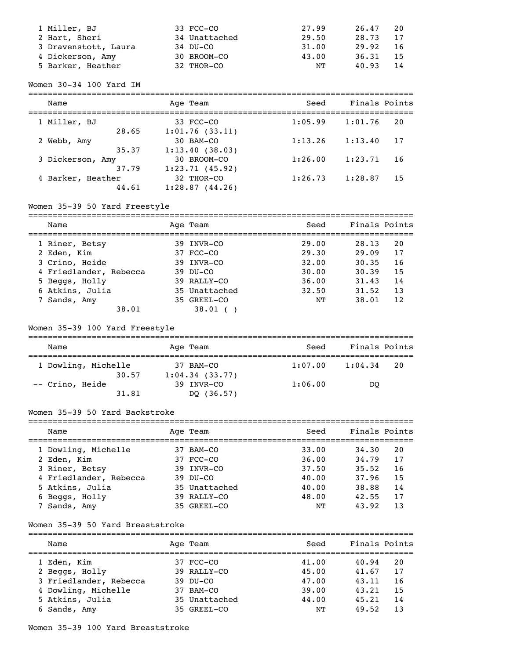| 1 Miller, BJ         | 33 FCC-CO     | 27.99 | 26.47 | 20  |
|----------------------|---------------|-------|-------|-----|
| 2 Hart, Sheri        | 34 Unattached | 29.50 | 28.73 | 17  |
| 3 Dravenstott, Laura | 34 DU-CO      | 31.00 | 29.92 | -16 |
| 4 Dickerson, Amy     | 30 BROOM-CO   | 43.00 | 36.31 | -15 |
| 5 Barker, Heather    | 32 THOR-CO    | NΤ    | 40.93 | -14 |

#### Women 30-34 100 Yard IM

| Name              | Age Team       | Seed    | Finals Points |
|-------------------|----------------|---------|---------------|
| 1 Miller, BJ      | 33 FCC-CO      | 1:05.99 | 1:01.76<br>20 |
| 28.65             | 1:01.76(33.11) | 1:13.26 | 1:13.40       |
| 2 Webb, Amy       | 30 BAM-CO      |         | 17            |
| 35.37             | 1:13.40(38.03) | 1:26.00 | 1:23.71       |
| 3 Dickerson, Amy  | 30 BROOM-CO    |         | 16            |
| 37.79             | 1:23.71(45.92) | 1:26.73 | 1:28.87       |
| 4 Barker, Heather | 32 THOR-CO     |         | 15            |
| 44.61             | 1:28.87(44.26) |         |               |

# Women 35-39 50 Yard Freestyle

| Name                   | Age Team      | Seed  | Finals Points |
|------------------------|---------------|-------|---------------|
| 1 Riner, Betsy         | 39 INVR-CO    | 29.00 | 20<br>28.13   |
| 2 Eden, Kim            | 37 FCC-CO     | 29.30 | 17<br>29.09   |
| 3 Crino, Heide         | 39 INVR-CO    | 32.00 | 16<br>30.35   |
| 4 Friedlander, Rebecca | $39$ DU-CO    | 30.00 | 15<br>30.39   |
| 5 Beggs, Holly         | 39 RALLY-CO   | 36.00 | 14<br>31.43   |
| 6 Atkins, Julia        | 35 Unattached | 32.50 | 13<br>31.52   |
| 7 Sands, Amy           | 35 GREEL-CO   | NΤ    | 38.01<br>12   |
| 38.01                  | $38.01$ (     |       |               |

# Women 35-39 100 Yard Freestyle

| Name                     | Age Team                     |         | Finals Points  |  |  |  |  |
|--------------------------|------------------------------|---------|----------------|--|--|--|--|
| 1 Dowling, Michelle      | 37 BAM-CO                    | 1:07.00 | 1:04.34<br>-20 |  |  |  |  |
| 30.57<br>-- Crino, Heide | 1:04.34(33.77)<br>39 INVR-CO | 1:06.00 | DO             |  |  |  |  |
| 31.81                    | DQ (36.57)                   |         |                |  |  |  |  |

## Women 35-39 50 Yard Backstroke

| Name                   | Age Team      | Seed  | Finals Points |    |
|------------------------|---------------|-------|---------------|----|
| 1 Dowling, Michelle    | 37 BAM-CO     | 33.00 | 34.30         | 20 |
| 2 Eden, Kim            | 37 FCC-CO     | 36.00 | 34.79         | 17 |
| 3 Riner, Betsy         | 39 INVR-CO    | 37.50 | 35.52         | 16 |
| 4 Friedlander, Rebecca | $39$ DU-CO    | 40.00 | 37.96         | 15 |
| 5 Atkins, Julia        | 35 Unattached | 40.00 | 38.88         | 14 |
| 6 Beggs, Holly         | 39 RALLY-CO   | 48.00 | 42.55         | 17 |
| 7 Sands, Amy           | 35 GREEL-CO   | NΤ    | 43.92         | 13 |

### Women 35-39 50 Yard Breaststroke

| Name                   | Age Team      | Seed  | Finals Points |    |
|------------------------|---------------|-------|---------------|----|
| 1 Eden, Kim            | 37 FCC-CO     | 41.00 | 40.94         | 20 |
| 2 Beggs, Holly         | 39 RALLY-CO   | 45.00 | 41.67         | 17 |
| 3 Friedlander, Rebecca | $39$ DU-CO    | 47.00 | 43.11         | 16 |
| 4 Dowling, Michelle    | 37 BAM-CO     | 39.00 | 43.21         | 15 |
| 5 Atkins, Julia        | 35 Unattached | 44.00 | 45.21         | 14 |
| 6 Sands, Amy           | 35 GREEL-CO   | NΤ    | 49.52         | 13 |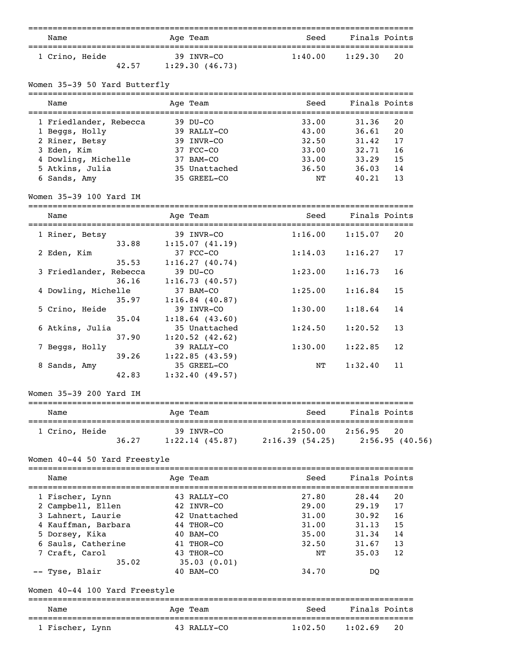|                                    | :===========                 | -====================================  |               |                |
|------------------------------------|------------------------------|----------------------------------------|---------------|----------------|
| Name                               | Age Team                     | Seed                                   | Finals Points |                |
| 1 Crino, Heide                     | 39 INVR-CO                   | 1:40.00                                | 1:29.30       | 20             |
| 42.57                              | 1:29.30(46.73)               |                                        |               |                |
| Women 35-39 50 Yard Butterfly      |                              |                                        |               |                |
| Name                               | Age Team                     | Seed                                   | Finals Points |                |
| 1 Friedlander, Rebecca             | $39$ DU-CO                   | 33.00                                  | 31.36         | 20             |
| 1 Beggs, Holly                     | 39 RALLY-CO                  | 43.00                                  | 36.61         | 20             |
| 2 Riner, Betsy                     | 39 INVR-CO                   | 32.50                                  | 31.42         | 17             |
| 3 Eden, Kim                        | 37 FCC-CO                    | 33.00                                  | 32.71         | 16             |
| 4 Dowling, Michelle                | 37 BAM-CO                    | 33.00                                  | 33.29         | 15             |
| 5 Atkins, Julia                    | 35 Unattached                | 36.50                                  | 36.03         | 14             |
| 6 Sands, Amy                       | 35 GREEL-CO                  | NΤ                                     | 40.21         | 13             |
| Women 35-39 100 Yard IM            |                              |                                        |               |                |
| Name                               | Age Team                     | Seed                                   | Finals Points |                |
|                                    |                              |                                        |               |                |
| 1 Riner, Betsy<br>33.88            | 39 INVR-CO<br>1:15.07(41.19) | 1:16.00                                | 1:15.07       | 20             |
| 2 Eden, Kim                        | 37 FCC-CO                    | 1:14.03                                | 1:16.27       | 17             |
| 35.53                              | 1:16.27(40.74)               |                                        |               |                |
| 3 Friedlander, Rebecca             | 39 DU-CO                     | 1:23.00                                | 1:16.73       | 16             |
| 36.16                              | 1:16.73(40.57)               |                                        |               |                |
| 4 Dowling, Michelle                | 37 BAM-CO                    | 1:25.00                                | 1:16.84       | 15             |
| 35.97                              | 1:16.84(40.87)               |                                        |               |                |
| 5 Crino, Heide                     | 39 INVR-CO                   | 1:30.00                                | 1:18.64       | 14             |
| 35.04                              | 1:18.64(43.60)               |                                        |               |                |
| 6 Atkins, Julia                    | 35 Unattached                | 1:24.50                                | 1:20.52       | 13             |
| 37.90                              | 1:20.52(42.62)               |                                        |               |                |
| 7 Beggs, Holly                     | 39 RALLY-CO                  | 1:30.00                                | 1:22.85       | 12             |
| 39.26                              | 1:22.85(43.59)               |                                        |               |                |
|                                    | 35 GREEL-CO                  |                                        | 1:32.40       | 11             |
| 8 Sands, Amy<br>42.83              | 1:32.40(49.57)               | NΤ                                     |               |                |
| Women 35-39 200 Yard IM            |                              |                                        |               |                |
| Name                               | -------<br>Age Team          | ==============================<br>Seed | Finals Points |                |
|                                    |                              |                                        |               |                |
| 1 Crino, Heide                     | 39 INVR-CO                   | 2:50.00                                | 2:56.95       | 20             |
| 36.27                              |                              | $1:22.14$ (45.87) $2:16.39$ (54.25)    |               | 2:56.95(40.56) |
| Women 40-44 50 Yard Freestyle      |                              |                                        |               |                |
| Name                               | Age Team                     | Seed                                   | Finals Points |                |
| 1 Fischer, Lynn                    | 43 RALLY-CO                  | 27.80                                  | 28.44         | 20             |
| 2 Campbell, Ellen                  | 42 INVR-CO                   | 29.00                                  | 29.19         | 17             |
| 3 Lahnert, Laurie                  | 42 Unattached                | 31.00                                  | 30.92         | 16             |
| 4 Kauffman, Barbara                | 44 THOR-CO                   | 31.00                                  | 31.13         | 15             |
| 5 Dorsey, Kika                     | 40 BAM-CO                    | 35.00                                  | 31.34         | 14             |
| 6 Sauls, Catherine                 | 41 THOR-CO                   | 32.50                                  | 31.67         | 13             |
| 7 Craft, Carol                     | 43 THOR-CO                   | NΤ                                     | 35.03         | 12             |
| 35.02                              | 35.03(0.01)                  |                                        |               |                |
| -- Tyse, Blair                     | 40 BAM-CO                    | 34.70                                  | DQ            |                |
| Women 40-44 100 Yard Freestyle     |                              |                                        |               |                |
| --------------------------<br>Name | ----------<br>Age Team       | Seed                                   | Finals Points |                |
|                                    |                              |                                        |               |                |
| 1 Fischer, Lynn                    | 43 RALLY-CO                  | 1:02.50                                | 1:02.69       | 20             |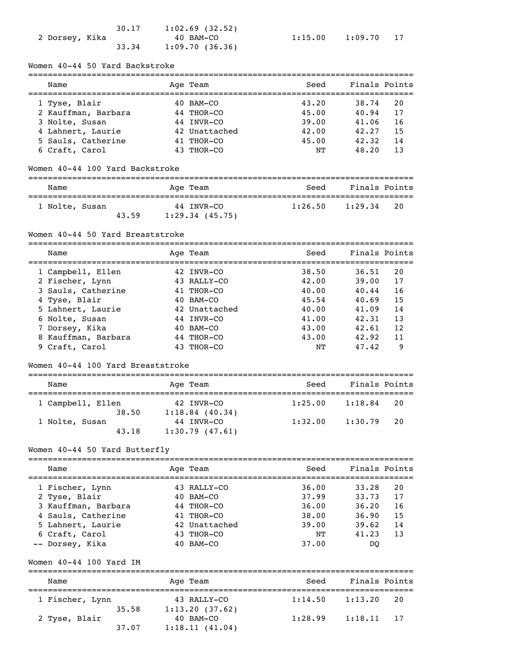|                | 30.17 | $1:02.69$ (32.52) |         |         |  |
|----------------|-------|-------------------|---------|---------|--|
| 2 Dorsey, Kika |       | 40 BAM-CO         | 1:15.00 | 1:09.70 |  |
|                | 33.34 | 1:09.70(36.36)    |         |         |  |

|  |  | 1:15.00 |  | 1:09.70 | $1^{\circ}$ |  |
|--|--|---------|--|---------|-------------|--|
|--|--|---------|--|---------|-------------|--|

## Women 40-44 50 Yard Backstroke

| Name                | Age Team      | Seed  | Finals Points |    |
|---------------------|---------------|-------|---------------|----|
| 1 Tyse, Blair       | $40$ BAM-CO   | 43.20 | 38.74         | 20 |
| 2 Kauffman, Barbara | 44 THOR-CO    | 45.00 | 40.94         | 17 |
| 3 Nolte, Susan      | 44 INVR-CO    | 39.00 | 41.06         | 16 |
| 4 Lahnert, Laurie   | 42 Unattached | 42.00 | 42.27         | 15 |
| 5 Sauls, Catherine  | 41 THOR-CO    | 45.00 | 42.32         | 14 |
| 6 Craft, Carol      | 43 THOR-CO    | NΤ    | 48.20         | 13 |

### Women 40-44 100 Yard Backstroke

| Name           |       | Age Team                        | Seed    | Finals Points |
|----------------|-------|---------------------------------|---------|---------------|
| 1 Nolte, Susan | 43.59 | 44 INVR-CO<br>$1:29.34$ (45.75) | 1:26.50 | 1:29.34<br>20 |

#### Women 40-44 50 Yard Breaststroke

===============================================================================

| Name                | Age Team      | Seed  | Finals Points |    |  |
|---------------------|---------------|-------|---------------|----|--|
| 1 Campbell, Ellen   | 42 INVR-CO    | 38.50 | 36.51         | 20 |  |
| 2 Fischer, Lynn     | 43 RALLY-CO   | 42.00 | 39.00         | 17 |  |
| 3 Sauls, Catherine  | 41 THOR-CO    | 40.00 | 40.44         | 16 |  |
| 4 Tyse, Blair       | 40 BAM-CO     | 45.54 | 40.69         | 15 |  |
| 5 Lahnert, Laurie   | 42 Unattached | 40.00 | 41.09         | 14 |  |
| 6 Nolte, Susan      | 44 INVR-CO    | 41.00 | 42.31         | 13 |  |
| 7 Dorsey, Kika      | 40 BAM-CO     | 43.00 | 42.61         | 12 |  |
| 8 Kauffman, Barbara | 44 THOR-CO    | 43.00 | 42.92         | 11 |  |
| 9 Craft, Carol      | 43 THOR-CO    | NΤ    | 47.42         | 9  |  |

#### Women 40-44 100 Yard Breaststroke

| Name              | Age Team          | Seed    | Finals Points |    |  |  |  |  |
|-------------------|-------------------|---------|---------------|----|--|--|--|--|
| 1 Campbell, Ellen | 42 INVR-CO        | 1:25.00 | 1:18.84       | 20 |  |  |  |  |
| 38.50             | $1:18.84$ (40.34) |         |               |    |  |  |  |  |
| 1 Nolte, Susan    | 44 INVR-CO        | 1:32.00 | 1:30.79       | 20 |  |  |  |  |
| 43.18             | 1:30.79(47.61)    |         |               |    |  |  |  |  |

## Women 40-44 50 Yard Butterfly

| Name                | Age Team      | Seed  | Finals Points |     |
|---------------------|---------------|-------|---------------|-----|
| 1 Fischer, Lynn     | 43 RALLY-CO   | 36.00 | 33.28         | 20  |
| 2 Tyse, Blair       | 40 BAM-CO     | 37.99 | 33.73         | 17  |
| 3 Kauffman, Barbara | 44 THOR-CO    | 36.00 | 36.20         | 16  |
| 4 Sauls, Catherine  | 41 THOR-CO    | 38.00 | 36.90         | 15  |
| 5 Lahnert, Laurie   | 42 Unattached | 39.00 | 39.62         | 14  |
| 6 Craft, Carol      | 43 THOR-CO    | NΤ    | 41.23         | 1.3 |
| -- Dorsey, Kika     | BAM-CO        | 37.00 | DO            |     |

#### Women 40-44 100 Yard IM

| Name            |       | Age Team                      | Seed    | Finals Points |    |  |  |
|-----------------|-------|-------------------------------|---------|---------------|----|--|--|
| 1 Fischer, Lynn | 35.58 | 43 RALLY-CO<br>1:13.20(37.62) | 1:14.50 | 1:13.20       | 20 |  |  |
| 2 Tyse, Blair   | 37.07 | 40 BAM-CO<br>1:18.11(41.04)   | 1:28.99 | 1:18.11<br>17 |    |  |  |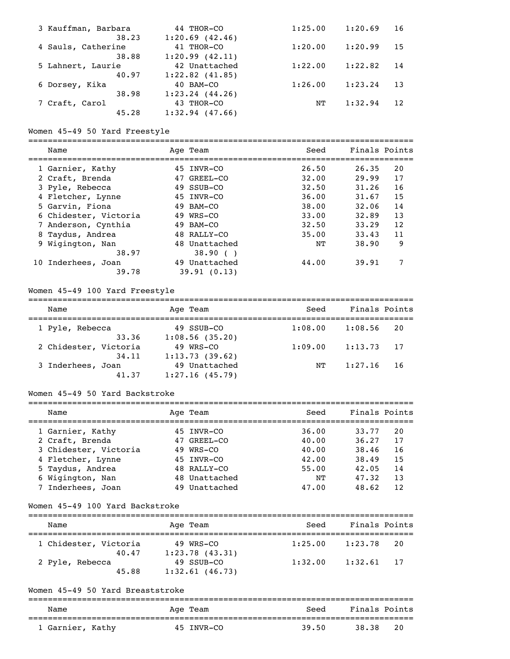| 3 Kauffman, Barbara<br>38.23 | 44 THOR-CO<br>1:20.69(42.46)     | 1:25.00 | 1:20.69 | 16  |
|------------------------------|----------------------------------|---------|---------|-----|
| 4 Sauls, Catherine           | 41 THOR-CO                       | 1:20.00 | 1:20.99 | 15  |
| 38.88<br>5 Lahnert, Laurie   | 1:20.99(42.11)<br>42 Unattached  | 1:22.00 | 1:22.82 | 14  |
| 40.97                        | $1:22.82$ $(41.85)$              |         |         |     |
| 6 Dorsey, Kika<br>38.98      | 40 BAM-CO<br>$1:23.24$ $(44.26)$ | 1:26.00 | 1:23.24 | 13  |
| 7 Craft, Carol               | 43 THOR-CO                       | NΤ      | 1:32.94 | 12. |
| 45.28                        | $1:32.94$ $(47.66)$              |         |         |     |

#### Women 45-49 50 Yard Freestyle

===============================================================================

| Name                  | Age Team      | Seed  | Finals Points |    |
|-----------------------|---------------|-------|---------------|----|
| 1 Garnier, Kathy      | 45 INVR-CO    | 26.50 | 26.35         | 20 |
| 2 Craft, Brenda       | 47 GREEL-CO   | 32.00 | 29.99         | 17 |
| 3 Pyle, Rebecca       | 49 SSUB-CO    | 32.50 | 31.26         | 16 |
| 4 Fletcher, Lynne     | 45 INVR-CO    | 36.00 | 31.67         | 15 |
| 5 Garvin, Fiona       | 49 BAM-CO     | 38.00 | 32.06         | 14 |
| 6 Chidester, Victoria | 49 WRS-CO     | 33.00 | 32.89         | 13 |
| 7 Anderson, Cynthia   | 49 BAM-CO     | 32.50 | 33.29         | 12 |
| 8 Taydus, Andrea      | 48 RALLY-CO   | 35.00 | 33.43         | 11 |
| 9 Wigington, Nan      | 48 Unattached | NΤ    | 38.90         | 9  |
| 38.97                 | 38.90()       |       |               |    |
| 10 Inderhees, Joan    | 49 Unattached | 44.00 | 39.91         |    |
| 39.78                 | 39.91(0.13)   |       |               |    |

## Women 45-49 100 Yard Freestyle

| Name                           | Age Team                        | Seed    | Finals Points |      |
|--------------------------------|---------------------------------|---------|---------------|------|
| 1 Pyle, Rebecca                | 49 SSUB-CO                      | 1:08.00 | 1:08.56       | 20   |
| 33.36                          | 1:08.56(35.20)                  |         |               |      |
| 2 Chidester, Victoria<br>34.11 | 49 WRS-CO<br>1:13.73(39.62)     | 1:09.00 | 1:13.73       | 17   |
| 3 Inderhees, Joan<br>41.37     | 49 Unattached<br>1:27.16(45.79) | NΤ      | 1:27.16       | - 16 |

#### Women 45-49 50 Yard Backstroke

| Name                  | Age Team      | Seed  | Finals Points |    |
|-----------------------|---------------|-------|---------------|----|
| 1 Garnier, Kathy      | 45 INVR-CO    | 36.00 | 33.77         | 20 |
| 2 Craft, Brenda       | 47 GREEL-CO   | 40.00 | 36.27         | 17 |
| 3 Chidester, Victoria | 49 WRS-CO     | 40.00 | 38.46         | 16 |
| 4 Fletcher, Lynne     | 45 INVR-CO    | 42.00 | 38.49         | 15 |
| 5 Taydus, Andrea      | 48 RALLY-CO   | 55.00 | 42.05         | 14 |
| 6 Wigington, Nan      | 48 Unattached | NΤ    | 47.32         | 13 |
| 7 Inderhees, Joan     | 49 Unattached | 47.00 | 48.62         | 12 |

#### Women 45-49 100 Yard Backstroke

| Name                           | Age Team                        | Seed    | Finals Points |    |
|--------------------------------|---------------------------------|---------|---------------|----|
| 1 Chidester, Victoria<br>40.47 | 49 WRS-CO<br>1:23.78(43.31)     | 1:25.00 | 1:23.78       | 20 |
| 2 Pyle, Rebecca<br>45.88       | 49 SSUB-CO<br>$1:32.61$ (46.73) | 1:32.00 | 1:32.61       | 17 |

## Women 45-49 50 Yard Breaststroke

| Name             | Age Team   | Seed  | Finals Points |  |  |  |  |
|------------------|------------|-------|---------------|--|--|--|--|
| . Garnier, Kathy | 45 TNVR-CO | 39.50 | 20<br>38.38   |  |  |  |  |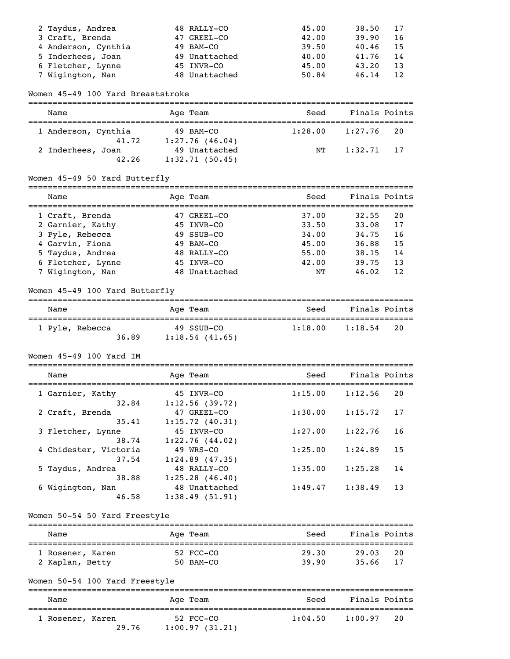| 2 Taydus, Andrea    | 48 RALLY-CO   | 45.00 | 38.50 | 17  |
|---------------------|---------------|-------|-------|-----|
| 3 Craft, Brenda     | 47 GREEL-CO   | 42.00 | 39.90 | -16 |
| 4 Anderson, Cynthia | 49 BAM-CO     | 39.50 | 40.46 | -15 |
| 5 Inderhees, Joan   | 49 Unattached | 40.00 | 41.76 | -14 |
| 6 Fletcher, Lynne   | 45 INVR-CO    | 45.00 | 43.20 | 13  |
| 7 Wigington, Nan    | 48 Unattached | 50.84 | 46.14 | 12  |

#### Women 45-49 100 Yard Breaststroke

| Name                |       | Age Team                        | Seed    | Finals Points |      |  |  |  |  |  |
|---------------------|-------|---------------------------------|---------|---------------|------|--|--|--|--|--|
| 1 Anderson, Cynthia | 41.72 | $49$ BAM-CO<br>1:27.76(46.04)   | 1:28.00 | 1:27.76       | - 20 |  |  |  |  |  |
| 2 Inderhees, Joan   | 42.26 | 49 Unattached<br>1:32.71(50.45) | NТ      | $1:32.71$ 17  |      |  |  |  |  |  |

## Women 45-49 50 Yard Butterfly

| Name              | Age Team      | Seed  | Finals Points |    |
|-------------------|---------------|-------|---------------|----|
| 1 Craft, Brenda   | 47 GREEL-CO   | 37.00 | 32.55         | 20 |
| 2 Garnier, Kathy  | 45 INVR-CO    | 33.50 | 33.08         | 17 |
| 3 Pyle, Rebecca   | 49 SSUB-CO    | 34.00 | 34.75         | 16 |
| 4 Garvin, Fiona   | 49 BAM-CO     | 45.00 | 36.88         | 15 |
| 5 Taydus, Andrea  | 48 RALLY-CO   | 55.00 | 38.15         | 14 |
| 6 Fletcher, Lynne | 45 INVR-CO    | 42.00 | 39.75         | 13 |
| 7 Wigington, Nan  | 48 Unattached | NΤ    | 46.02         | 12 |

## Women 45-49 100 Yard Butterfly

| Name            |       | Age Team                     | Seed    | Finals Points |
|-----------------|-------|------------------------------|---------|---------------|
| 1 Pyle, Rebecca | 36.89 | 49 SSUB-CO<br>1:18.54(41.65) | 1:18.00 | 1:18.54<br>20 |

## Women 45-49 100 Yard IM

| Name                  | Age Team          | Seed    | Finals Points |
|-----------------------|-------------------|---------|---------------|
| 1 Garnier, Kathy      | 45 INVR-CO        | 1:15.00 | 1:12.56<br>20 |
| 32.84                 | 1:12.56(39.72)    |         |               |
| 2 Craft, Brenda       | 47 GREEL-CO       | 1:30.00 | 1:15.72<br>17 |
| 35.41                 | 1:15.72(40.31)    |         |               |
| 3 Fletcher, Lynne     | 45 INVR-CO        | 1:27.00 | 1:22.76<br>16 |
| 38.74                 | 1:22.76(44.02)    |         |               |
| 4 Chidester, Victoria | 49 WRS-CO         | 1:25.00 | 15<br>1:24.89 |
| 37.54                 | $1:24.89$ (47.35) |         |               |
| 5 Taydus, Andrea      | 48 RALLY-CO       | 1:35.00 | 1:25.28<br>14 |
| 38.88                 | $1:25.28$ (46.40) |         |               |
| 6 Wigington, Nan      | 48 Unattached     | 1:49.47 | 1:38.49<br>13 |
| 46.58                 | 1:38.49(51.91)    |         |               |

## Women 50-54 50 Yard Freestyle

| Name             | Age Team    | Seed  | Finals Points |    |
|------------------|-------------|-------|---------------|----|
| 1 Rosener, Karen | 52 FCC-CO   | 29.30 | 29.03         | 20 |
| 2 Kaplan, Betty  | $50$ BAM-CO | 39.90 | 35.66         | 17 |

# Women 50-54 100 Yard Freestyle

| Name             | Age Team       | Seed    | Finals Points |
|------------------|----------------|---------|---------------|
| 1 Rosener, Karen | 52 FCC-CO      | 1:04.50 | 1:00.97       |
| 29.76            | 1:00.97(31.21) |         | 20            |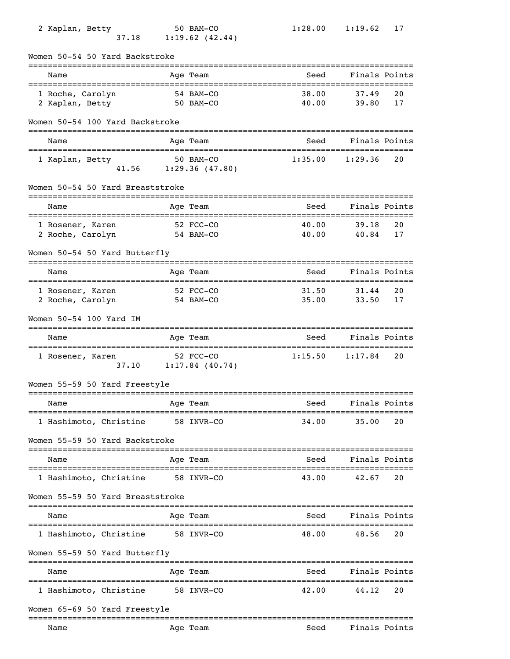| 2 Kaplan, Betty<br>37.18             |                                  | 50 BAM-CO<br>1:19.62(42.44)              | 1:28.00               | 1:19.62            | 17       |
|--------------------------------------|----------------------------------|------------------------------------------|-----------------------|--------------------|----------|
| Women 50-54 50 Yard Backstroke       |                                  |                                          |                       |                    |          |
| Name                                 |                                  | Age Team                                 | Seed                  | Finals Points      |          |
| 1 Roche, Carolyn<br>2 Kaplan, Betty  |                                  | 54 BAM-CO<br>50 BAM-CO                   | 38.00<br>40.00        | 37.49<br>39.80     | 20<br>17 |
| Women 50-54 100 Yard Backstroke      |                                  |                                          |                       |                    |          |
| Name                                 |                                  | Age Team                                 | Seed                  | Finals Points      |          |
| 1 Kaplan, Betty                      |                                  | 50 BAM-CO<br>$41.56$ $1:29.36$ $(47.80)$ | 1:35.00               | 1:29.36            | 20       |
| Women 50-54 50 Yard Breaststroke     |                                  |                                          |                       |                    |          |
| Name                                 |                                  | Age Team                                 | Seed                  | Finals Points      |          |
| 1 Rosener, Karen<br>2 Roche, Carolyn | $52 \text{ FCC}-CO$<br>54 BAM-CO |                                          | 40.00<br>40.00        | 39.18<br>40.84     | 20<br>17 |
| Women 50-54 50 Yard Butterfly        |                                  |                                          |                       | ================== |          |
| Name                                 |                                  | Age Team                                 | Seed                  | Finals Points      |          |
| 1 Rosener, Karen<br>2 Roche, Carolyn |                                  | 52 FCC-CO<br>54 BAM-CO                   | 31.50<br>35.00        | 31.44<br>33.50     | 20<br>17 |
| Women 50-54 100 Yard IM              |                                  |                                          |                       |                    |          |
| Name                                 |                                  | Age Team                                 | Seed                  | Finals Points      |          |
| 1 Rosener, Karen                     |                                  | 52 FCC-CO<br>37.10 1:17.84 (40.74)       | 1:15.50               | 1:17.84            | 20       |
| Women 55-59 50 Yard Freestyle        |                                  |                                          |                       |                    |          |
| Name<br>=============                |                                  | Age Team                                 | Seed<br>============= | Finals Points      |          |
| 1 Hashimoto, Christine               |                                  | 58 INVR-CO                               | 34.00                 | 35.00              | 20       |
| Women 55-59 50 Yard Backstroke       |                                  |                                          |                       |                    |          |
| Name                                 |                                  | Age Team                                 | Seed                  | Finals Points      |          |
| 1 Hashimoto, Christine               |                                  | 58 INVR-CO                               | 43.00                 | 42.67              | 20       |
| Women 55-59 50 Yard Breaststroke     |                                  |                                          |                       |                    |          |
| Name                                 |                                  | Age Team                                 | Seed                  | Finals Points      |          |
| 1 Hashimoto, Christine               |                                  | 58 INVR-CO                               | 48.00                 | 48.56              | 20       |
| Women 55-59 50 Yard Butterfly        |                                  |                                          |                       |                    |          |
| Name                                 |                                  | Age Team                                 | Seed                  | Finals Points      |          |
| 1 Hashimoto, Christine               |                                  | 58 INVR-CO                               | 42.00                 | 44.12              | 20       |
| Women 65-69 50 Yard Freestyle        |                                  |                                          |                       |                    |          |

Name Mage Team Age Team Seed Finals Points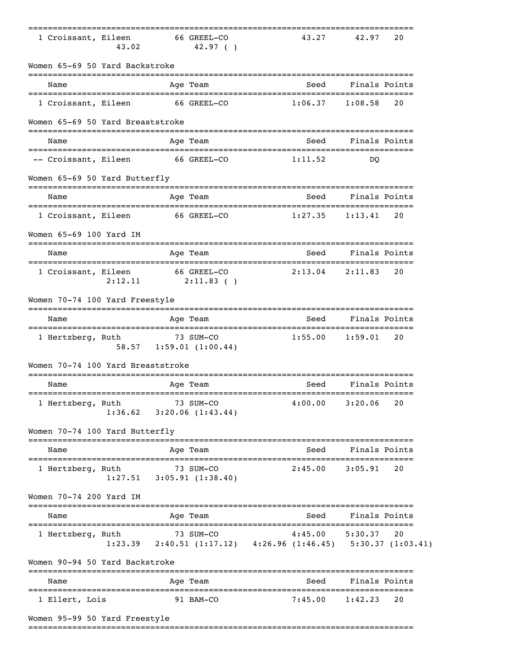| 1 Croissant, Eileen                          | 43.02                 |           | 66 GREEL-CO<br>42.97(                                                                               | 43.27                                     | 42.97                    | 20 |
|----------------------------------------------|-----------------------|-----------|-----------------------------------------------------------------------------------------------------|-------------------------------------------|--------------------------|----|
| Women 65-69 50 Yard Backstroke               |                       |           |                                                                                                     |                                           |                          |    |
| ----------------------------<br>Name         |                       |           | Age Team                                                                                            | Seed                                      | Finals Points            |    |
| 1 Croissant, Eileen                          |                       |           | 66 GREEL-CO                                                                                         | 1:06.37                                   | 1:08.58                  | 20 |
| Women 65-69 50 Yard Breaststroke             |                       |           |                                                                                                     |                                           |                          |    |
| Name                                         |                       |           | Age Team                                                                                            | Seed                                      | Finals Points            |    |
| -- Croissant, Eileen                         |                       |           | 66 GREEL-CO                                                                                         | 1:11.52                                   | DO.                      |    |
| Women 65-69 50 Yard Butterfly                |                       |           | ------                                                                                              |                                           |                          |    |
| Name                                         |                       |           | Age Team                                                                                            | Seed                                      | Finals Points            |    |
| 1 Croissant, Eileen                          |                       |           | 66 GREEL-CO                                                                                         | 1:27.35                                   | 1:13.41                  | 20 |
| Women 65-69 100 Yard IM                      |                       |           |                                                                                                     |                                           |                          |    |
| Name                                         |                       |           | Age Team                                                                                            | Seed                                      | Finals Points            |    |
| 1 Croissant, Eileen                          | 2:12.11               |           | 66 GREEL-CO<br>$2:11.83$ ()                                                                         | 2:13.04                                   | 2:11.83                  | 20 |
| Women 70-74 100 Yard Freestyle               |                       |           |                                                                                                     |                                           |                          |    |
| Name<br>==================================== |                       |           | Age Team                                                                                            | Seed<br>================================= | Finals Points            |    |
| 1 Hertzberg, Ruth                            |                       |           | 73 SUM-CO<br>58.57 1:59.01 (1:00.44)                                                                | 1:55.00                                   | 1:59.01                  | 20 |
| Women 70-74 100 Yard Breaststroke            |                       |           |                                                                                                     |                                           |                          |    |
| Name                                         |                       |           | Age Team<br>.============                                                                           | Seed<br>--------------------------------- | Finals Points            |    |
| 1 Hertzberg, Ruth                            |                       |           | 73 SUM-CO<br>$1:36.62$ $3:20.06$ $(1:43.44)$                                                        | $4:00.00$ $3:20.06$                       |                          | 20 |
| Women 70-74 100 Yard Butterfly               | ===================== |           |                                                                                                     |                                           |                          |    |
| Name                                         |                       |           | Age Team                                                                                            | Seed                                      | Finals Points            |    |
| 1 Hertzberg, Ruth                            |                       |           | 73 SUM-CO<br>$1:27.51$ $3:05.91$ $(1:38.40)$                                                        | 2:45.00                                   | 3:05.91                  | 20 |
| Women 70-74 200 Yard IM                      |                       |           |                                                                                                     |                                           |                          |    |
| Name                                         |                       |           | Age Team                                                                                            | Seed                                      | Finals Points            |    |
| 1 Hertzberg, Ruth                            |                       | 73 SUM-CO | uth 73 SUM-CO $4:45.00$ 5:30.37 20<br>1:23.39 2:40.51 (1:17.12) 4:26.96 (1:46.45) 5:30.37 (1:03.41) |                                           |                          |    |
| Women 90-94 50 Yard Backstroke               |                       |           |                                                                                                     |                                           |                          |    |
| Name                                         |                       |           | Age Team                                                                                            | Seed                                      | Finals Points<br>======= |    |
| 1 Ellert, Lois                               |                       |           | 91 BAM-CO                                                                                           | 7:45.00                                   | 1:42.23                  | 20 |
| Women 95-99 50 Yard Freestyle                |                       |           |                                                                                                     |                                           |                          |    |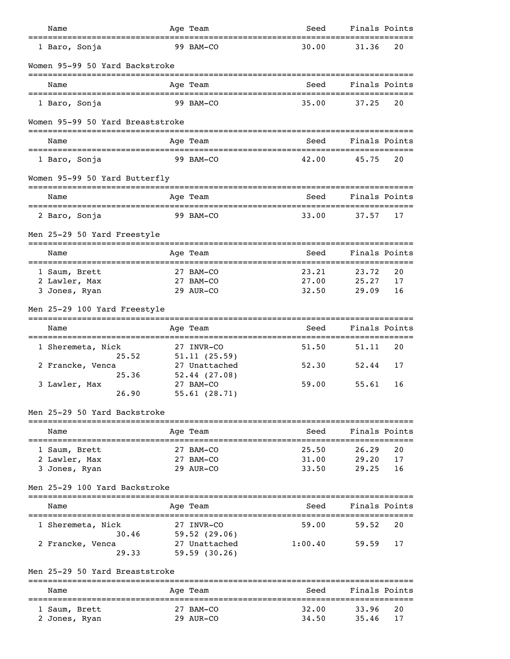| Name                                          | Age Team                                 | Seed                                         | Finals Points |    |
|-----------------------------------------------|------------------------------------------|----------------------------------------------|---------------|----|
| =========================<br>1 Baro, Sonja    | 99 BAM-CO                                | 30.00                                        | 31.36         | 20 |
| Women 95-99 50 Yard Backstroke                |                                          |                                              |               |    |
| Name                                          | Age Team                                 | Seed                                         | Finals Points |    |
| 1 Baro, Sonja                                 | 99 BAM-CO                                | 35.00                                        | 37.25         | 20 |
| Women 95-99 50 Yard Breaststroke              |                                          |                                              |               |    |
| Name                                          | Age Team                                 | Seed                                         | Finals Points |    |
| 1 Baro, Sonja                                 | 99 BAM-CO                                | 42.00                                        | 45.75         | 20 |
| Women 95-99 50 Yard Butterfly                 |                                          |                                              |               |    |
| Name                                          | Age Team                                 | Seed                                         | Finals Points |    |
| 2 Baro, Sonja                                 | 99 BAM-CO                                | 33.00                                        | 37.57         | 17 |
| Men 25-29 50 Yard Freestyle                   |                                          |                                              |               |    |
| Name                                          | Age Team                                 | Seed                                         | Finals Points |    |
| ======================<br>1 Saum, Brett       | ;==========================<br>27 BAM-CO | .==================================<br>23.21 | 23.72         | 20 |
| 2 Lawler, Max                                 | 27 BAM-CO                                | 27.00                                        | 25.27         | 17 |
| 3 Jones, Ryan                                 | 29 AUR-CO                                | 32.50                                        | 29.09         | 16 |
| Men 25-29 100 Yard Freestyle                  |                                          |                                              |               |    |
| Name                                          | Age Team                                 | Seed                                         | Finals Points |    |
| 1 Sheremeta, Nick<br>25.52                    | 27 INVR-CO<br>51.11(25.59)               | 51.50                                        | 51.11         | 20 |
| 2 Francke, Venca                              | 27 Unattached                            | 52.30                                        | 52.44         | 17 |
| 25.36                                         | 52.44(27.08)                             |                                              |               |    |
| 3 Lawler, Max                                 | 27 BAM-CO                                | 59.00                                        | 55.61         | 16 |
| 26.90                                         | 55.61 (28.71)                            |                                              |               |    |
| Men 25-29 50 Yard Backstroke                  |                                          |                                              |               |    |
| Name<br>===================================== | Age Team                                 | Seed                                         | Finals Points |    |
| 1 Saum, Brett                                 | 27 BAM-CO                                | 25.50                                        | 26.29         | 20 |
| 2 Lawler, Max                                 | 27 BAM-CO                                | 31.00                                        | 29.20         | 17 |
| 3 Jones, Ryan                                 | 29 AUR-CO                                | 33.50                                        | 29.25         | 16 |
| Men 25-29 100 Yard Backstroke                 |                                          |                                              |               |    |
| Name                                          | Age Team                                 | Seed                                         | Finals Points |    |
| 1 Sheremeta, Nick<br>30.46                    | 27 INVR-CO<br>59.52(29.06)               | 59.00                                        | 59.52         | 20 |
| 2 Francke, Venca<br>29.33                     | 27 Unattached<br>59.59(30.26)            | 1:00.40                                      | 59.59         | 17 |
| Men 25-29 50 Yard Breaststroke                |                                          |                                              |               |    |
| ;=============================<br>Name        | ----------<br>Age Team                   | Seed                                         | Finals Points |    |
| 1 Saum, Brett                                 | 27 BAM-CO                                | 32.00                                        | 33.96         | 20 |
| 2 Jones, Ryan                                 | 29 AUR-CO                                | 34.50                                        | 35.46         | 17 |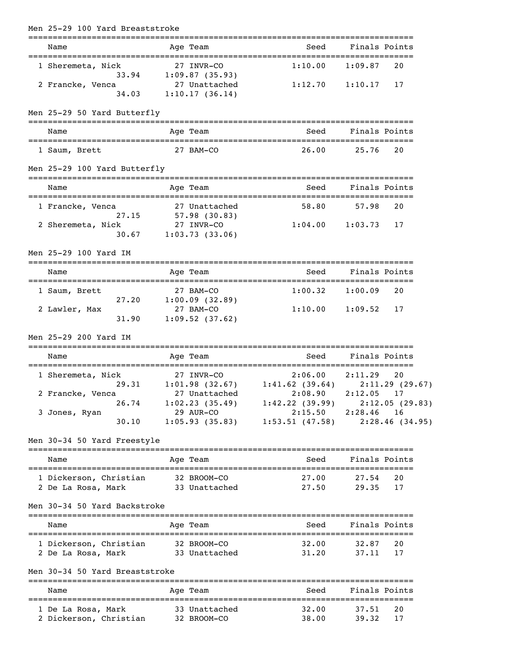| Men 25-29 100 Yard Breaststroke                                                    |                                                                |                                                                              |                    |          |
|------------------------------------------------------------------------------------|----------------------------------------------------------------|------------------------------------------------------------------------------|--------------------|----------|
| Name                                                                               | Age Team                                                       | Seed                                                                         | Finals Points      |          |
| 1 Sheremeta, Nick                                                                  | 27 INVR-CO                                                     | 1:10.00                                                                      | 1:09.87            | 20       |
| 2 Francke, Venca<br>34.03                                                          | 33.94 1:09.87 (35.93)<br>27 Unattached<br>1:10.17(36.14)       | 1:12.70                                                                      | 1:10.17            | 17       |
| Men 25-29 50 Yard Butterfly                                                        |                                                                |                                                                              |                    |          |
| Name                                                                               | Age Team                                                       |                                                                              | Seed Finals Points |          |
| 1 Saum, Brett                                                                      | 27 BAM-CO                                                      | 26.00                                                                        | 25.76              | 20       |
| Men 25-29 100 Yard Butterfly                                                       |                                                                |                                                                              |                    |          |
| Name                                                                               | Age Team                                                       |                                                                              | Seed Finals Points |          |
| 1 Francke, Venca                                                                   |                                                                | 58.80                                                                        | 57.98              | 20       |
| 27.15<br>2 Sheremeta, Nick<br>30.67                                                | 27 Unattached<br>57.98 (30.83)<br>27 INVR-CO<br>1:03.73(33.06) | 1:04.00                                                                      | 1:03.73            | 17       |
| Men 25-29 100 Yard IM                                                              |                                                                |                                                                              |                    |          |
| Name                                                                               | Age Team                                                       | Seed                                                                         | Finals Points      |          |
| 1 Saum, Brett                                                                      | 27 BAM-CO                                                      | $1:00.32$ $1:00.09$                                                          |                    | 20       |
| 27.20<br>2 Lawler, Max<br>31.90                                                    | 1:00.09(32.89)<br>27 BAM-CO<br>1:09.52(37.62)                  | $1:10.00$ $1:09.52$                                                          |                    | 17       |
| Men 25-29 200 Yard IM                                                              |                                                                |                                                                              |                    |          |
| Name                                                                               | Age Team                                                       |                                                                              | Seed Finals Points |          |
| 1 Sheremeta, Nick                                                                  | 27 INVR-CO                                                     | $2:06.00$ $2:11.29$<br>29.31 1:01.98 (32.67) 1:41.62 (39.64) 2:11.29 (29.67) |                    | 20       |
| 2 Francke, Venca 27 Unattached 2:08.90 2:12.05 17                                  |                                                                |                                                                              |                    |          |
|                                                                                    |                                                                | 26.74 1:02.23 (35.49) 1:42.22 (39.99) 2:12.05 (29.83)                        |                    |          |
| 3 Jones, Ryan<br>30.10                                                             | 29 AUR-CO                                                      | 2:15.50 2:28.46 16<br>1:05.93 (35.83) 1:53.51 (47.58) 2:28.46 (34.95)        |                    |          |
| Men 30-34 50 Yard Freestyle                                                        |                                                                |                                                                              |                    |          |
| Name                                                                               | Age Team                                                       | Seed Finals Points                                                           |                    |          |
|                                                                                    |                                                                |                                                                              |                    | 20       |
| 2 De La Rosa, Mark 33 Unattached 27.50 29.35                                       |                                                                |                                                                              |                    | 17       |
| Men 30-34 50 Yard Backstroke                                                       |                                                                |                                                                              |                    |          |
| Name                                                                               | Age Team                                                       |                                                                              | Seed Finals Points |          |
| 1 Dickerson, Christian 32 BROOM-CO<br>2 De La Rosa, Mark 33 Unattached 31.20 37.11 |                                                                | 32.00                                                                        | 32.87              | 20<br>17 |
| Men 30-34 50 Yard Breaststroke                                                     |                                                                |                                                                              |                    |          |
| Name                                                                               | Age Team                                                       |                                                                              | Seed Finals Points |          |
| 1 De La Rosa, Mark 33 Unattached                                                   |                                                                | 32.00                                                                        | 37.51              | 20       |
| 2 Dickerson, Christian 32 BROOM-CO                                                 |                                                                | 38.00                                                                        | 39.32              | 17       |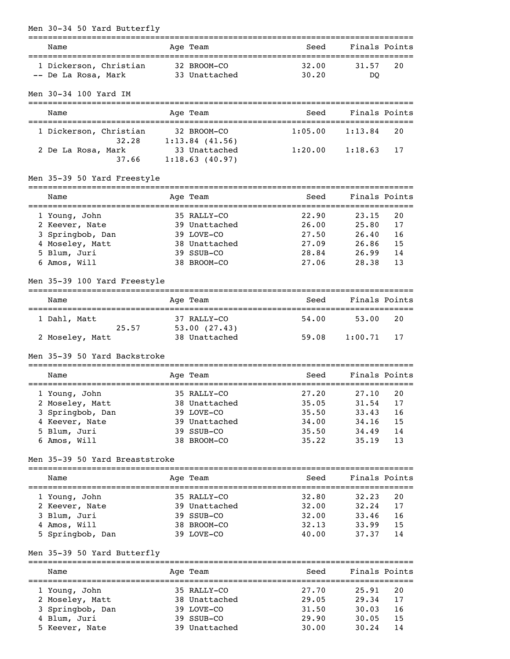| Men 30-34 50 Yard Butterfly    |                                        |                     |                |          |
|--------------------------------|----------------------------------------|---------------------|----------------|----------|
| Name                           | Age Team                               | Seed                | Finals Points  |          |
| 1 Dickerson, Christian         | 32 BROOM-CO                            | 32.00               | 31.57          | 20       |
| -- De La Rosa, Mark            | 33 Unattached                          | 30.20               | DO             |          |
| Men 30-34 100 Yard IM          |                                        |                     |                |          |
| Name                           | Age Team                               | Seed                | Finals Points  |          |
| 1 Dickerson, Christian         | 32 BROOM-CO<br>$32.28$ 1:13.84 (41.56) | 1:05.00             | 1:13.84        | 20       |
| 2 De La Rosa, Mark             | 33 Unattached                          | $1:20.00$ $1:18.63$ |                | 17       |
|                                | 37.66 1:18.63 (40.97)                  |                     |                |          |
| Men 35-39 50 Yard Freestyle    |                                        |                     |                |          |
| Name                           | Age Team                               | Seed                | Finals Points  |          |
| 1 Young, John                  | 35 RALLY-CO                            | 22.90               | 23.15          | 20       |
| 2 Keever, Nate                 | 39 Unattached                          | 26.00               | 25.80          | 17       |
| 3 Springbob, Dan               | 39 LOVE-CO                             | 27.50               | 26.40          | 16       |
| 4 Moseley, Matt                | 38 Unattached                          | 27.09<br>28.84      | 26.86          | 15       |
| 5 Blum, Juri<br>6 Amos, Will   | 39 SSUB-CO<br>38 BROOM-CO              | 27.06               | 26.99<br>28.38 | 14<br>13 |
|                                |                                        |                     |                |          |
| Men 35-39 100 Yard Freestyle   |                                        |                     |                |          |
| Name                           | Age Team                               | Seed                | Finals Points  |          |
| 1 Dahl, Matt                   | 37 RALLY-CO                            | 54.00               | 53.00          | 20       |
| 2 Moseley, Matt                | 25.57 53.00 (27.43)<br>38 Unattached   | 59.08               | 1:00.71        | 17       |
| Men 35-39 50 Yard Backstroke   |                                        |                     |                |          |
| Name                           | Age Team                               | Seed                | Finals Points  |          |
| 35 RALLY-CO<br>1 Young, John   |                                        | 27.20 27.10 20      |                |          |
| 2 Moseley, Matt                | 38 Unattached                          | 35.05               | 31.54          | 17       |
| 3 Springbob, Dan               | 39 LOVE-CO                             | 35.50               | 33.43          | 16       |
| 4 Keever, Nate                 | 39 Unattached                          | 34.00               | 34.16          | 15       |
| 5 Blum, Juri                   | 39 SSUB-CO                             | 35.50               | 34.49          | 14       |
| 6 Amos, Will                   | 38 BROOM-CO                            | 35.22               | 35.19          | 13       |
| Men 35-39 50 Yard Breaststroke |                                        |                     |                |          |
| Name                           | Age Team                               | Seed                | Finals Points  |          |
| 1 Young, John                  | 35 RALLY-CO                            | 32.80               | 32.23          | 20       |
| 2 Keever, Nate                 | 39 Unattached                          | 32.00               | 32.24          | 17       |
| 3 Blum, Juri                   | 39 SSUB-CO                             | 32.00               | 33.46          | 16       |
| 4 Amos, Will                   | 38 BROOM-CO                            | 32.13               | 33.99          | 15       |
| 5 Springbob, Dan               | 39 LOVE-CO                             | 40.00               | 37.37          | 14       |
| Men 35-39 50 Yard Butterfly    |                                        |                     |                |          |
| Name                           | Age Team                               | Seed                | Finals Points  |          |
| 1 Young, John                  | 35 RALLY-CO                            | 27.70               | 25.91          | 20       |
| 2 Moseley, Matt                | 38 Unattached                          | 29.05               | 29.34          | 17       |
| 3 Springbob, Dan               | 39 LOVE-CO                             | 31.50               | 30.03          | 16       |
| 4 Blum, Juri                   | 39 SSUB-CO                             | 29.90               | 30.05          | 15       |
| 5 Keever, Nate                 | 39 Unattached                          | 30.00               | 30.24          | 14       |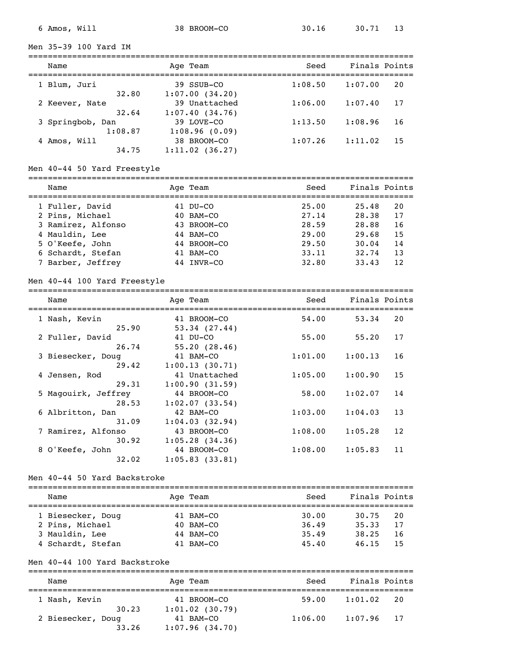Men 35-39 100 Yard IM

| Name                        | Age Team                        | Seed    | Finals Points |    |
|-----------------------------|---------------------------------|---------|---------------|----|
| 1 Blum, Juri<br>32.80       | 39 SSUB-CO<br>1:07.00(34.20)    | 1:08.50 | 1:07.00       | 20 |
| 2 Keever, Nate<br>32.64     | 39 Unattached<br>1:07.40(34.76) | 1:06.00 | 1:07.40       | 17 |
| 3 Springbob, Dan<br>1:08.87 | 39 LOVE-CO<br>1:08.96(0.09)     | 1:13.50 | 1:08.96       | 16 |
| 4 Amos, Will<br>34.75       | 38 BROOM-CO<br>1:11.02(36.27)   | 1:07.26 | 1:11.02       | 15 |

## Men 40-44 50 Yard Freestyle

| Name               | Age Team       | Seed  | Finals Points |
|--------------------|----------------|-------|---------------|
| 1 Fuller, David    | 41 DU-CO       | 25.00 | 25.48<br>20   |
| 2 Pins, Michael    | $40$ BAM $-CO$ | 27.14 | 17<br>28.38   |
| 3 Ramirez, Alfonso | 43 BROOM-CO    | 28.59 | 28.88<br>16   |
| 4 Mauldin, Lee     | 44 BAM-CO      | 29.00 | 15<br>29.68   |
| 5 O'Keefe, John    | 44 BROOM-CO    | 29.50 | 14<br>30.04   |
| 6 Schardt, Stefan  | 41 BAM-CO      | 33.11 | 13<br>32.74   |
| 7 Barber, Jeffrey  | INVR-CO        | 32.80 | 12<br>33.43   |

#### Men 40-44 100 Yard Freestyle

| Name                | Age Team                | Seed    | Finals Points |
|---------------------|-------------------------|---------|---------------|
| 1 Nash, Kevin       | 41 BROOM-CO             | 54.00   | 20<br>53.34   |
|                     | 25.90<br>53.34(27.44)   |         |               |
| 2 Fuller, David     | 41 DU-CO                | 55.00   | 17<br>55.20   |
|                     | 55.20(28.46)<br>26.74   |         |               |
| 3 Biesecker, Doug   | 41 BAM-CO               | 1:01.00 | 1:00.13<br>16 |
|                     | 29.42<br>1:00.13(30.71) |         |               |
| 4 Jensen, Rod       | 41 Unattached           | 1:05.00 | 15<br>1:00.90 |
|                     | 29.31<br>1:00.90(31.59) |         |               |
| 5 Magouirk, Jeffrey | 44 BROOM-CO             | 58.00   | 14<br>1:02.07 |
|                     | 1:02.07(33.54)<br>28.53 |         |               |
| 6 Albritton, Dan    | 42 BAM-CO               | 1:03.00 | 13<br>1:04.03 |
|                     | 31.09<br>1:04.03(32.94) |         |               |
| 7 Ramirez, Alfonso  | 43 BROOM-CO             | 1:08.00 | 12<br>1:05.28 |
|                     | 30.92<br>1:05.28(34.36) |         |               |
| 8 O'Keefe, John     | 44 BROOM-CO             | 1:08.00 | 1:05.83<br>11 |
|                     | 32.02<br>1:05.83(33.81) |         |               |

#### Men 40-44 50 Yard Backstroke

| Name              | Age Team       | Seed  | Finals Points |
|-------------------|----------------|-------|---------------|
|                   |                |       |               |
| 1 Biesecker, Doug | $41$ BAM $-CO$ | 30.00 | 30.75<br>20   |
| 2 Pins, Michael   | 40 BAM-CO      | 36.49 | 17<br>35.33   |
| 3 Mauldin, Lee    | $44$ BAM-CO    | 35.49 | 38.25<br>-16  |
| 4 Schardt, Stefan | 41 BAM-CO      | 45.40 | -15<br>46.15  |

### Men 40-44 100 Yard Backstroke

| Name                       | Age Team                         | Seed    | Finals Points |
|----------------------------|----------------------------------|---------|---------------|
| 1 Nash, Kevin<br>30.23     | 41 BROOM-CO<br>$1:01.02$ (30.79) | 59.00   | 1:01.02<br>20 |
| 2 Biesecker, Doug<br>33.26 | 41 BAM-CO<br>1:07.96(34.70)      | 1:06.00 | $1:07.96$ 17  |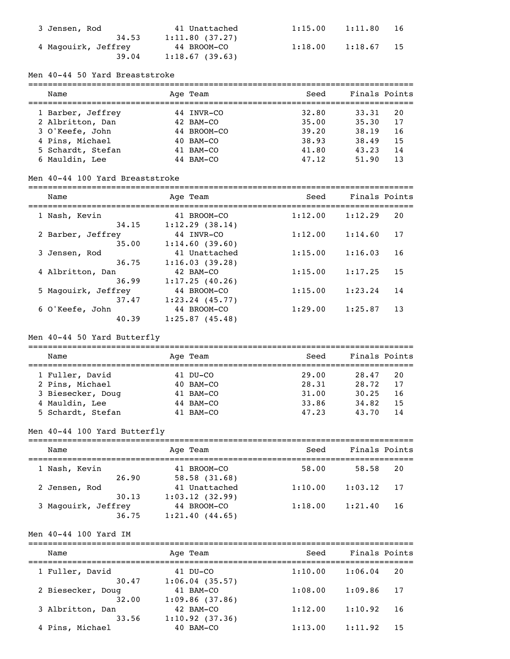| 3 Jensen, Rod       | 41 Unattached  | 1:15.00 | 1:11.80 | 16  |
|---------------------|----------------|---------|---------|-----|
| 34.53               | 1:11.80(37.27) |         |         |     |
| 4 Magouirk, Jeffrey | 44 BROOM-CO    | 1:18.00 | 1:18.67 | -15 |
| 39.04               | 1:18.67(39.63) |         |         |     |

### Men 40-44 50 Yard Breaststroke

| Finals Points |
|---------------|
|               |
|               |
|               |
|               |
|               |
|               |
|               |

#### Men 40-44 100 Yard Breaststroke

| Name                |       | Age Team          | Seed    | Finals Points |    |
|---------------------|-------|-------------------|---------|---------------|----|
|                     |       |                   |         |               |    |
| 1 Nash, Kevin       |       | 41 BROOM-CO       | 1:12.00 | 1:12.29       | 20 |
|                     | 34.15 | 1:12.29(38.14)    |         |               |    |
| 2 Barber, Jeffrey   |       | 44 INVR-CO        | 1:12.00 | 1:14.60       | 17 |
|                     | 35.00 | 1:14.60(39.60)    |         |               |    |
| 3 Jensen, Rod       |       | 41 Unattached     | 1:15.00 | 1:16.03       | 16 |
|                     | 36.75 | 1:16.03(39.28)    |         |               |    |
| 4 Albritton, Dan    |       | 42 BAM-CO         | 1:15.00 | 1:17.25       | 15 |
|                     | 36.99 | 1:17.25(40.26)    |         |               |    |
| 5 Magouirk, Jeffrey |       | 44 BROOM-CO       | 1:15.00 | 1:23.24       | 14 |
|                     | 37.47 | $1:23.24$ (45.77) |         |               |    |
| 6 O'Keefe, John     |       | 44 BROOM-CO       | 1:29.00 | 1:25.87       | 13 |
|                     | 40.39 | 1:25.87(45.48)    |         |               |    |

## Men 40-44 50 Yard Butterfly

| Name              | Age Team       | Seed  | Finals Points |
|-------------------|----------------|-------|---------------|
| 1 Fuller, David   | 41 DU-CO       | 29.00 | 28.47<br>20   |
| 2 Pins, Michael   | $40$ BAM $-CO$ | 28.31 | 17<br>28.72   |
| 3 Biesecker, Doug | $41$ BAM $-CO$ | 31.00 | 30.25<br>16   |
| 4 Mauldin, Lee    | 44 BAM-CO      | 33.86 | 15<br>34.82   |
| 5 Schardt, Stefan | $41$ BAM $-CO$ | 47.23 | 43.70<br>14   |

# Men 40-44 100 Yard Butterfly

| Name                   | Age Team                      | Seed    | Finals Points |
|------------------------|-------------------------------|---------|---------------|
| 1 Nash, Kevin          | 41 BROOM-CO                   | 58.00   | 58.58<br>20   |
| 26.90                  | 58.58(31.68)<br>41 Unattached | 1:10.00 | 1:03.12<br>17 |
| 2 Jensen, Rod<br>30.13 | 1:03.12(32.99)                |         |               |
| 3 Magouirk, Jeffrey    | 44 BROOM-CO                   | 1:18.00 | 1:21.40<br>16 |
| 36.75                  | 1:21.40(44.65)                |         |               |

#### Men 40-44 100 Yard IM

| Name              | Age Team       | Seed    | Finals Points |
|-------------------|----------------|---------|---------------|
| 1 Fuller, David   | 41 DU-CO       | 1:10.00 | 1:06.04<br>20 |
| 30.47             | 1:06.04(35.57) | 1:08.00 | 1:09.86       |
| 2 Biesecker, Doug | 41 BAM-CO      |         | 17            |
| 32.00             | 1:09.86(37.86) | 1:12.00 | 1:10.92       |
| 3 Albritton, Dan  | 42 BAM-CO      |         | 16            |
| 33.56             | 1:10.92(37.36) | 1:13.00 | 1:11.92       |
| 4 Pins, Michael   | 40 BAM-CO      |         | 15            |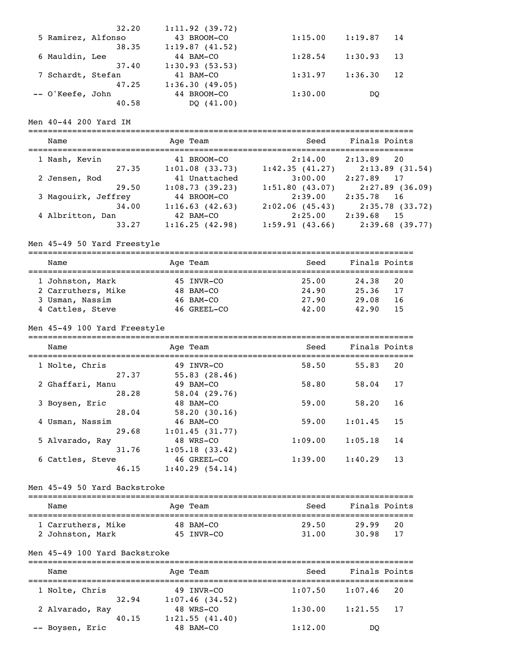|                    | 32.20 | 1:11.92(39.72) |         |         |    |
|--------------------|-------|----------------|---------|---------|----|
| 5 Ramirez, Alfonso |       | 43 BROOM-CO    | 1:15.00 | 1:19.87 | 14 |
|                    | 38.35 | 1:19.87(41.52) |         |         |    |
| 6 Mauldin, Lee     |       | 44 BAM-CO      | 1:28.54 | 1:30.93 | 13 |
|                    | 37.40 | 1:30.93(53.53) |         |         |    |
| 7 Schardt, Stefan  |       | 41 BAM-CO      | 1:31.97 | 1:36.30 | 12 |
|                    | 47.25 | 1:36.30(49.05) |         |         |    |
| -- O'Keefe, John   |       | 44 BROOM-CO    | 1:30.00 | DO      |    |
|                    | 40.58 | DO (41.00)     |         |         |    |

## Men 40-44 200 Yard IM

| Name                | Age Team            | Seed           | Finals Points     |
|---------------------|---------------------|----------------|-------------------|
| 1 Nash, Kevin       | 41 BROOM-CO         | 2:14.00        | 2:13.89<br>20     |
| 27.35               | $1:01.08$ $(33.73)$ | 1:42.35(41.27) | 2:13.89(31.54)    |
| 2 Jensen, Rod       | 41 Unattached       | 3:00.00        | 2:27.89<br>17     |
| 29.50               | 1:08.73(39.23)      | 1:51.80(43.07) | $2:27.89$ (36.09) |
| 3 Magouirk, Jeffrey | 44 BROOM-CO         | 2:39.00        | 2:35.78<br>16     |
| 34.00               | 1:16.63(42.63)      | 2:02.06(45.43) | $2:35.78$ (33.72) |
| 4 Albritton, Dan    | 42 BAM-CO           | 2:25.00        | 2:39.68<br>15     |
| 33.27               | 1:16.25(42.98)      | 1:59.91(43.66) | 2:39.68(39.77)    |

# Men 45-49 50 Yard Freestyle

| Name               | Age Team       | Seed  | Finals Points |    |
|--------------------|----------------|-------|---------------|----|
| 1 Johnston, Mark   | 45 INVR-CO     | 25.00 | 24.38         | 20 |
| 2 Carruthers, Mike | 48 BAM-CO      | 24.90 | 25.36         | 17 |
| 3 Usman, Nassim    | $46$ BAM $-CO$ | 27.90 | 29.08         | 16 |
| 4 Cattles, Steve   | 46 GREEL-CO    | 42.00 | 42.90         | 15 |

## Men 45-49 100 Yard Freestyle

| Name                      | Age Team                      | Seed    | Finals Points |
|---------------------------|-------------------------------|---------|---------------|
| 1 Nolte, Chris<br>27.37   | 49 INVR-CO<br>55.83(28.46)    | 58.50   | 20<br>55.83   |
| 2 Ghaffari, Manu<br>28.28 | 49 BAM-CO<br>58.04(29.76)     | 58.80   | 17<br>58.04   |
| 3 Boysen, Eric            | 48 BAM-CO                     | 59.00   | 16<br>58.20   |
| 28.04<br>4 Usman, Nassim  | 58.20(30.16)<br>46 BAM-CO     | 59.00   | 15<br>1:01.45 |
| 29.68<br>5 Alvarado, Ray  | 1:01.45(31.77)<br>48 WRS-CO   | 1:09.00 | 1:05.18<br>14 |
| 31.76<br>6 Cattles, Steve | 1:05.18(33.42)<br>46 GREEL-CO | 1:39.00 | 13<br>1:40.29 |
| 46.15                     | 1:40.29(54.14)                |         |               |

### Men 45-49 50 Yard Backstroke

| Name               | Age Team   | Seed  | Finals Points |
|--------------------|------------|-------|---------------|
| 1 Carruthers, Mike | 48 BAM-CO  | 29.50 | 20<br>29.99   |
| 2 Johnston, Mark   | 45 TNVR-CO | 31.00 | 30.98<br>-17  |

### Men 45-49 100 Yard Backstroke

| Name            | Age Team       | Seed    | Finals Points |  |
|-----------------|----------------|---------|---------------|--|
| 1 Nolte, Chris  | 49 INVR-CO     | 1:07.50 | 1:07.46<br>20 |  |
| 32.94           | 1:07.46(34.52) |         |               |  |
| 2 Alvarado, Ray | 48 WRS-CO      | 1:30.00 | $1:21.55$ 17  |  |
| 40.15           | 1:21.55(41.40) |         |               |  |
| -- Boysen, Eric | 48 BAM-CO      | 1:12.00 | DO            |  |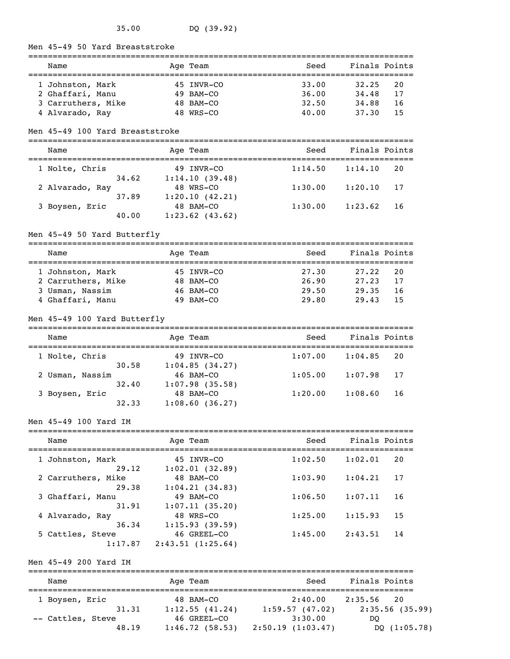Men 45-49 50 Yard Breaststroke

| Name               | Age Team    | Seed  | Finals Points |    |
|--------------------|-------------|-------|---------------|----|
| 1 Johnston, Mark   | 45 INVR-CO  | 33.00 | 32.25         | 20 |
| 2 Ghaffari, Manu   | 49 BAM-CO   | 36.00 | 34.48         | 17 |
| 3 Carruthers, Mike | $48$ BAM-CO | 32.50 | 34.88         | 16 |
| 4 Alvarado, Ray    | 48 WRS-CO   | 40.00 | 37.30         | 15 |

#### Men 45-49 100 Yard Breaststroke

#### =============================================================================== Name Age Team Seed Finals Points

| wallle          |       | Aye ream          | əeeu    | Finais ruints |    |
|-----------------|-------|-------------------|---------|---------------|----|
| 1 Nolte, Chris  |       | 49 INVR-CO        | 1:14.50 | 1:14.10       | 20 |
|                 | 34.62 | 1:14.10(39.48)    |         |               |    |
| 2 Alvarado, Ray |       | 48 WRS-CO         | 1:30.00 | 1:20.10       | 17 |
|                 | 37.89 | 1:20.10(42.21)    |         |               |    |
| 3 Boysen, Eric  |       | 48 BAM-CO         | 1:30.00 | 1:23.62       | 16 |
|                 | 40.00 | $1:23.62$ (43.62) |         |               |    |
|                 |       |                   |         |               |    |

#### Men 45-49 50 Yard Butterfly

=============================================================================== Name and Age Team and Seed Finals Points =============================================================================== 1 Johnston, Mark 45 INVR-CO 27.30 27.22 20 2 Carruthers, Mike 48 BAM-CO 26.90 27.23 17 3 Usman, Nassim 46 BAM-CO 29.50 29.35 16 45 INVR-CO 27.30 27.22 20<br>
2 Carruthers, Mike 48 BAM-CO 26.90 27.23 17<br>
3 Usman, Nassim 46 BAM-CO 29.50 29.35 16<br>
4 Ghaffari, Manu 49 BAM-CO 29.80 29.43 15

### Men 45-49 100 Yard Butterfly

| Name            | Age Team          | Seed    | Finals Points |
|-----------------|-------------------|---------|---------------|
| 1 Nolte, Chris  | 49 INVR-CO        | 1:07.00 | 1:04.85       |
| 30.58           | 1:04.85(34.27)    |         | 20            |
| 2 Usman, Nassim | 46 BAM-CO         | 1:05.00 | 1:07.98       |
| 32.40           | $1:07.98$ (35.58) |         | - 17          |
| 3 Boysen, Eric  | 48 BAM-CO         | 1:20.00 | 1:08.60       |
| 32.33           | 1:08.60(36.27)    |         | 16            |

#### Men 45-49 100 Yard IM

| Name               | Age Team         | Seed    | Finals Points |
|--------------------|------------------|---------|---------------|
| 1 Johnston, Mark   | 45 INVR-CO       | 1:02.50 | 1:02.01       |
| 29.12              | 1:02.01(32.89)   |         | 20            |
| 2 Carruthers, Mike | 48 BAM-CO        | 1:03.90 | 1:04.21       |
| 29.38              | 1:04.21(34.83)   |         | 17            |
| 3 Ghaffari, Manu   | 49 BAM-CO        | 1:06.50 | 1:07.11       |
| 31.91              | 1:07.11(35.20)   |         | 16            |
| 4 Alvarado, Ray    | 48 WRS-CO        | 1:25.00 | 1:15.93       |
| 36.34              | 1:15.93(39.59)   |         | 15            |
| 5 Cattles, Steve   | 46 GREEL-CO      | 1:45.00 | 2:43.51       |
| 1:17.87            | 2:43.51(1:25.64) |         | 14            |

### Men 45-49 200 Yard IM

| Name              | Age Team       | Seed             | Finals Points  |  |  |  |  |
|-------------------|----------------|------------------|----------------|--|--|--|--|
| 1 Boysen, Eric    | 48 BAM-CO      | 2:40.00          | 2:35.56<br>2.0 |  |  |  |  |
| 31.31             | 1:12.55(41.24) | 1:59.57(47.02)   | 2:35.56(35.99) |  |  |  |  |
| -- Cattles, Steve | 46 GREEL-CO    | 3:30.00          | DO             |  |  |  |  |
| 48.19             | 1:46.72(58.53) | 2:50.19(1:03.47) | DQ(1:05.78)    |  |  |  |  |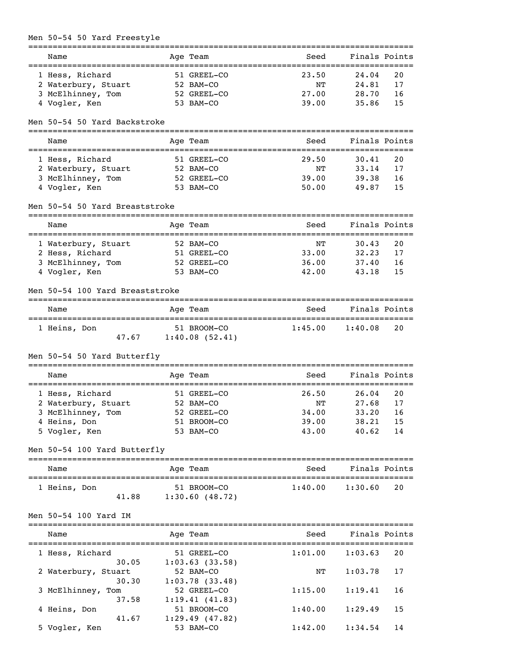# Men 50-54 50 Yard Freestyle

| Name<br>______________________________________ |                 | Age Team       | Seed<br>-------------------------------- | Finals Points                            |    |
|------------------------------------------------|-----------------|----------------|------------------------------------------|------------------------------------------|----|
| 1 Hess, Richard                                |                 | 51 GREEL-CO    | 23.50                                    | 24.04                                    | 20 |
| 2 Waterbury, Stuart                            |                 | 52 BAM-CO      | NΤ                                       | 24.81                                    | 17 |
|                                                |                 |                |                                          |                                          |    |
| 3 McElhinney, Tom                              |                 | 52 GREEL-CO    | 27.00                                    | 28.70                                    | 16 |
| 4 Vogler, Ken                                  |                 | 53 BAM-CO      | 39.00                                    | 35.86                                    | 15 |
| Men 50-54 50 Yard Backstroke                   |                 |                |                                          |                                          |    |
| Name                                           |                 | Age Team       | Seed                                     | Finals Points                            |    |
| 1 Hess, Richard                                |                 | 51 GREEL-CO    | 29.50                                    | 30.41                                    | 20 |
| 2 Waterbury, Stuart                            |                 | 52 BAM-CO      | NΤ                                       | 33.14                                    | 17 |
| 3 McElhinney, Tom                              |                 | 52 GREEL-CO    | 39.00                                    | 39.38                                    | 16 |
| 4 Vogler, Ken                                  |                 | 53 BAM-CO      | 50.00                                    | 49.87                                    | 15 |
| Men 50-54 50 Yard Breaststroke                 |                 |                |                                          |                                          |    |
| Name                                           |                 | Age Team       | Seed                                     | Finals Points                            |    |
| 1 Waterbury, Stuart                            |                 | 52 BAM-CO      | NΤ                                       | . _ _ _ _ _ _ _ _ _ _ _ _ _ _ _<br>30.43 | 20 |
|                                                |                 |                | 33.00                                    | 32.23                                    | 17 |
| 2 Hess, Richard                                |                 | 51 GREEL-CO    |                                          |                                          |    |
| 3 McElhinney, Tom                              |                 | 52 GREEL-CO    | 36.00                                    | 37.40                                    | 16 |
| 4 Vogler, Ken                                  |                 | 53 BAM-CO      | 42.00                                    | 43.18                                    | 15 |
| Men 50-54 100 Yard Breaststroke                |                 |                |                                          |                                          |    |
| Name                                           |                 | Age Team       | Seed                                     | Finals Points                            |    |
| 1 Heins, Don                                   |                 | 51 BROOM-CO    | 1:45.00                                  | 1:40.08                                  | 20 |
| 47.67                                          |                 | 1:40.08(52.41) |                                          |                                          |    |
| Men 50-54 50 Yard Butterfly                    |                 |                |                                          |                                          |    |
| Name                                           | --------------- | Age Team       | Seed                                     | Finals Points                            |    |
|                                                |                 |                |                                          |                                          |    |
| 1 Hess, Richard                                |                 | 51 GREEL-CO    | 26.50                                    | 26.04                                    | 20 |
| 2 Waterbury, Stuart                            |                 | 52 BAM-CO      | NΤ                                       | 27.68                                    | 17 |
| 3 McElhinney, Tom                              |                 | 52 GREEL-CO    | 34.00                                    | 33.20                                    | 16 |
| 4 Heins, Don                                   |                 | 51 BROOM-CO    | 39.00                                    | 38.21                                    | 15 |
| 5 Vogler, Ken                                  |                 | 53 BAM-CO      | 43.00                                    | 40.62                                    | 14 |
| Men 50-54 100 Yard Butterfly                   |                 |                |                                          |                                          |    |
| Name                                           |                 | Age Team       | Seed                                     | Finals Points                            |    |
|                                                |                 | 51 BROOM-CO    | 1:40.00                                  | 1:30.60                                  | 20 |
| 1 Heins, Don<br>41.88                          |                 | 1:30.60(48.72) |                                          |                                          |    |
| Men 50-54 100 Yard IM                          |                 |                |                                          |                                          |    |
| Name                                           |                 | Age Team       | Seed                                     | Finals Points                            |    |
|                                                |                 |                | 1:01.00                                  |                                          | 20 |
| 1 Hess, Richard                                |                 | 51 GREEL-CO    |                                          | 1:03.63                                  |    |
| 30.05                                          |                 | 1:03.63(33.58) |                                          |                                          |    |
| 2 Waterbury, Stuart                            |                 | 52 BAM-CO      | NΤ                                       | 1:03.78                                  | 17 |
| 30.30                                          |                 | 1:03.78(33.48) |                                          |                                          |    |
| 3 McElhinney, Tom                              |                 | 52 GREEL-CO    | 1:15.00                                  | 1:19.41                                  | 16 |
| 37.58                                          |                 | 1:19.41(41.83) |                                          |                                          |    |

 4 Heins, Don 51 BROOM-CO 1:40.00 1:29.49 15 41.67 1:29.49 (47.82)

5 Vogler, Ken 53 BAM-CO 1:42.00 1:34.54 14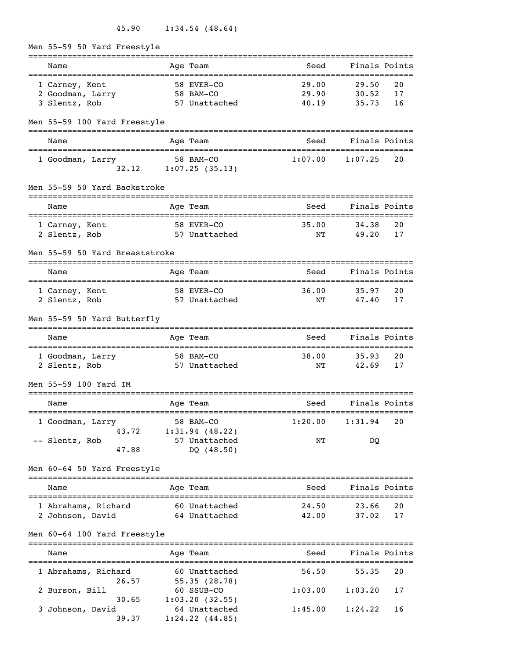45.90 1:34.54 (48.64)

Men 55-59 50 Yard Freestyle =============================================================================== Name Team Age Team Seed Finals Points =============================================================================== 1 Carney, Kent 58 EVER-CO 29.00 29.50 20 2 Goodman, Larry 58 BAM-CO 29.90 30.52 17 3 Slentz, Rob 57 Unattached 40.19 35.73 16 Men 55-59 100 Yard Freestyle =============================================================================== Name Team Age Team Seed Finals Points =============================================================================== 1 Goodman, Larry 58 BAM-CO 1:07.00 1:07.25 20 32.12 1:07.25 (35.13) Men 55-59 50 Yard Backstroke =============================================================================== Age Team and Seed Finals Points =============================================================================== 1 Carney, Kent 58 EVER-CO 35.00 34.38 20 2 Slentz, Rob 57 Unattached NT 49.20 17 Men 55-59 50 Yard Breaststroke =============================================================================== Name Team Age Team Seed Finals Points =============================================================================== 1 Carney, Kent 58 EVER-CO 36.00 35.97 20 2 Slentz, Rob 57 Unattached NT 47.40 17 Men 55-59 50 Yard Butterfly =============================================================================== Name Mage Team Age Team Seed Finals Points =============================================================================== 1 Goodman, Larry 58 BAM-CO 38.00 35.93 20<br>2 Slentz, Rob 57 Unattached NT 42.69 17 2 Slentz, Rob 57 Unattached NT 42.69 17 Men 55-59 100 Yard IM =============================================================================== Name Team Age Team Seed Finals Points =============================================================================== 1 Goodman, Larry 58 BAM-CO 1:20.00 1:31.94 20 43.72 1:31.94 (48.22) -- Slentz, Rob 57 Unattached NT DQ 47.88 DQ (48.50) Men 60-64 50 Yard Freestyle =============================================================================== Name Team Age Team Seed Finals Points =============================================================================== 1 Abrahams, Richard 60 Unattached 24.50 23.66 20 2 Johnson, David 64 Unattached 42.00 37.02 17 Men 60-64 100 Yard Freestyle =============================================================================== Name Age Team =============================================================================== 1 Abrahams, Richard 60 Unattached 56.50 55.35 20  $26.57$   $55.35$   $(28.78)$  2 Burson, Bill 60 SSUB-CO 1:03.00 1:03.20 17  $30.65$   $1:03.20$  (32.55) 3 Johnson, David 64 Unattached 1:45.00 1:24.22 16

 $39.37$  1:24.22 (44.85)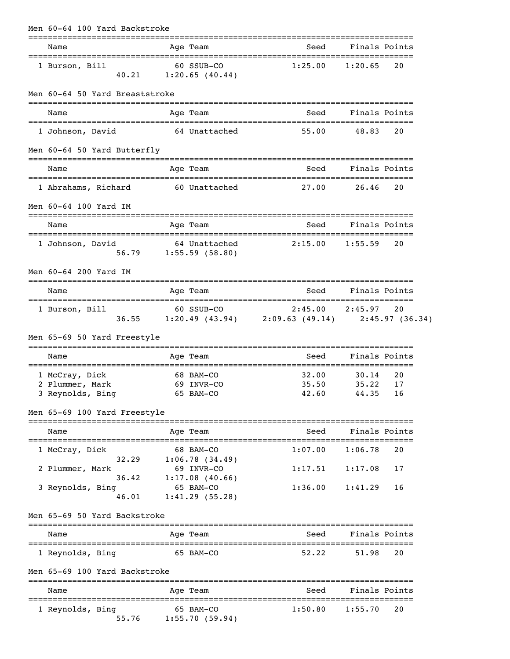| Men 60-64 100 Yard Backstroke                                   |                         |                                           |                                                                                 |                                  |               |
|-----------------------------------------------------------------|-------------------------|-------------------------------------------|---------------------------------------------------------------------------------|----------------------------------|---------------|
| Name                                                            |                         | Age Team                                  | Seed                                                                            | Finals Points                    |               |
| 1 Burson, Bill<br>40.21                                         | 60 SSUB-CO              | 1:20.65(40.44)                            | 1:25.00                                                                         | 1:20.65                          | 20            |
| Men 60-64 50 Yard Breaststroke                                  |                         |                                           |                                                                                 |                                  |               |
| Name                                                            |                         | Age Team                                  | Seed                                                                            | Finals Points                    |               |
| 1 Johnson, David                                                |                         | 64 Unattached                             | 55.00                                                                           | 48.83                            | 20            |
| Men 60-64 50 Yard Butterfly                                     |                         |                                           |                                                                                 |                                  |               |
| Name                                                            |                         | Age Team                                  | Seed                                                                            | Finals Points                    |               |
| 1 Abrahams, Richard                                             |                         | 60 Unattached                             | 27.00                                                                           | 26.46                            | 20            |
| Men 60-64 100 Yard IM                                           |                         |                                           |                                                                                 |                                  |               |
| Name                                                            |                         | Age Team                                  | Seed                                                                            | Finals Points                    |               |
| 1 Johnson, David                                                |                         | 64 Unattached<br>$56.79$ 1:55.59 (58.80)  | 2:15.00                                                                         | 1:55.59                          | 20            |
| Men 60-64 200 Yard IM                                           |                         |                                           |                                                                                 |                                  |               |
| Name                                                            |                         | Age Team                                  | Seed                                                                            | Finals Points                    |               |
| 1 Burson, Bill                                                  |                         | 60 SSUB-CO                                | $2:45.00$ $2:45.97$ 20<br>36.55 1:20.49 (43.94) 2:09.63 (49.14) 2:45.97 (36.34) |                                  |               |
| Men 65-69 50 Yard Freestyle                                     |                         |                                           |                                                                                 |                                  |               |
| Name                                                            |                         | Age Team                                  |                                                                                 | Seed Finals Points               |               |
| 1 McCray, Dick<br>2 Plummer, Mark<br>3 Reynolds, Bing 65 BAM-CO | 68 BAM-CO<br>69 INVR-CO |                                           | 32.00<br>35.50                                                                  | 30.14<br>35.22<br>42.60 44.35 16 | 20<br>17      |
| Men 65-69 100 Yard Freestyle                                    |                         |                                           |                                                                                 |                                  |               |
| Name                                                            |                         | Age Team                                  | Seed                                                                            | Finals Points                    |               |
| 1 McCray, Dick<br>32.29                                         |                         | 68 BAM-CO<br>1:06.78(34.49)               | 1:07.00                                                                         | 1:06.78                          | 20            |
| 2 Plummer, Mark<br>36.42<br>3 Reynolds, Bing                    |                         | 69 INVR-CO<br>1:17.08(40.66)<br>65 BAM-CO | 1:17.51<br>1:36.00                                                              | 1:17.08<br>1:41.29               | 17<br>16      |
| 46.01<br>Men 65-69 50 Yard Backstroke                           |                         | 1:41.29(55.28)                            |                                                                                 |                                  |               |
| Name                                                            |                         | Age Team                                  | Seed                                                                            |                                  | Finals Points |
| 1 Reynolds, Bing                                                |                         | 65 BAM-CO                                 | 52.22                                                                           | 51.98                            | 20            |
| Men 65-69 100 Yard Backstroke                                   |                         |                                           |                                                                                 |                                  |               |
| Name<br>======================================                  |                         | Age Team                                  | Seed                                                                            | Finals Points                    |               |
| 1 Reynolds, Bing<br>55.76                                       |                         | 65 BAM-CO<br>1:55.70(59.94)               | 1:50.80                                                                         | 1:55.70                          | 20            |